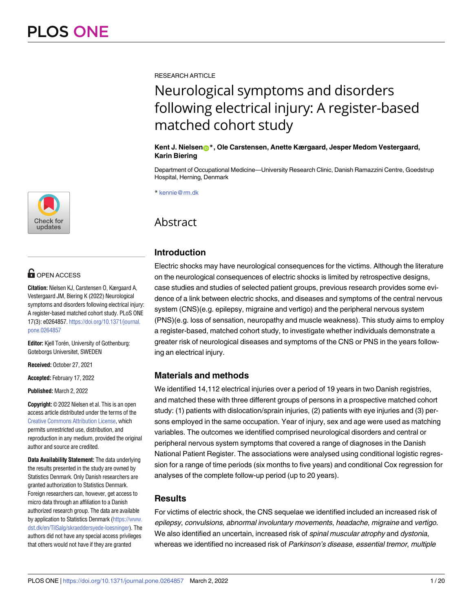

# **G** OPEN ACCESS

**Citation:** Nielsen KJ, Carstensen O, Kærgaard A, Vestergaard JM, Biering K (2022) Neurological symptoms and disorders following electrical injury: A register-based matched cohort study. PLoS ONE 17(3): e0264857. [https://doi.org/10.1371/journal.](https://doi.org/10.1371/journal.pone.0264857) [pone.0264857](https://doi.org/10.1371/journal.pone.0264857)

**Editor:** Kjell Torén, University of Gothenburg: Goteborgs Universitet, SWEDEN

**Received:** October 27, 2021

**Accepted:** February 17, 2022

**Published:** March 2, 2022

**Copyright:** © 2022 Nielsen et al. This is an open access article distributed under the terms of the Creative Commons [Attribution](http://creativecommons.org/licenses/by/4.0/) License, which permits unrestricted use, distribution, and reproduction in any medium, provided the original author and source are credited.

**Data Availability Statement:** The data underlying the results presented in the study are owned by Statistics Denmark. Only Danish researchers are granted authorization to Statistics Denmark. Foreign researchers can, however, get access to micro data through an affiliation to a Danish authorized research group. The data are available by application to Statistics Denmark [\(https://www.](https://www.dst.dk/en/TilSalg/skraeddersyede-loesninger) [dst.dk/en/TilSalg/skraeddersyede-loesninger](https://www.dst.dk/en/TilSalg/skraeddersyede-loesninger)). The authors did not have any special access privileges that others would not have if they are granted

RESEARCH ARTICLE

# Neurological symptoms and disorders following electrical injury: A register-based matched cohort study

#### **Kent J. Nielsen[ID](https://orcid.org/0000-0002-4643-5697)\*, Ole Carstensen, Anette Kærgaard, Jesper Medom Vestergaard, Karin Biering**

Department of Occupational Medicine—University Research Clinic, Danish Ramazzini Centre, Goedstrup Hospital, Herning, Denmark

\* kennie@rm.dk

# Abstract

# **Introduction**

Electric shocks may have neurological consequences for the victims. Although the literature on the neurological consequences of electric shocks is limited by retrospective designs, case studies and studies of selected patient groups, previous research provides some evidence of a link between electric shocks, and diseases and symptoms of the central nervous system (CNS)(e.g. epilepsy, migraine and vertigo) and the peripheral nervous system (PNS)(e.g. loss of sensation, neuropathy and muscle weakness). This study aims to employ a register-based, matched cohort study, to investigate whether individuals demonstrate a greater risk of neurological diseases and symptoms of the CNS or PNS in the years following an electrical injury.

# **Materials and methods**

We identified 14,112 electrical injuries over a period of 19 years in two Danish registries, and matched these with three different groups of persons in a prospective matched cohort study: (1) patients with dislocation/sprain injuries, (2) patients with eye injuries and (3) persons employed in the same occupation. Year of injury, sex and age were used as matching variables. The outcomes we identified comprised neurological disorders and central or peripheral nervous system symptoms that covered a range of diagnoses in the Danish National Patient Register. The associations were analysed using conditional logistic regression for a range of time periods (six months to five years) and conditional Cox regression for analyses of the complete follow-up period (up to 20 years).

# **Results**

For victims of electric shock, the CNS sequelae we identified included an increased risk of epilepsy, convulsions, abnormal involuntary movements, headache, migraine and vertigo. We also identified an uncertain, increased risk of spinal muscular atrophy and dystonia, whereas we identified no increased risk of Parkinson's disease, essential tremor, multiple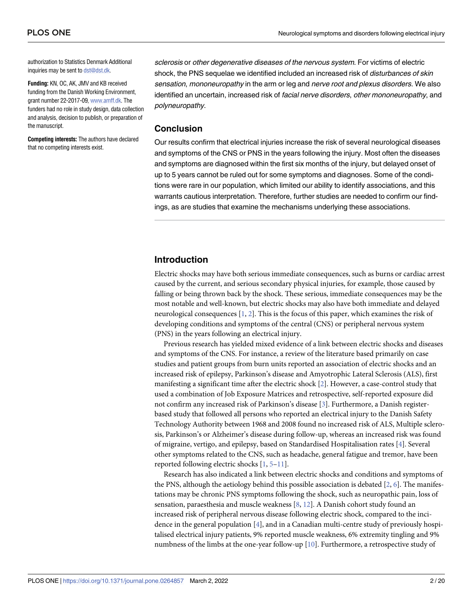<span id="page-1-0"></span>authorization to Statistics Denmark Additional inquiries may be sent to [dst@dst.dk.](mailto:dst@dst.dk)

**Funding:** KN, OC, AK, JMV and KB received funding from the Danish Working Environment, grant number 22-2017-09, [www.amff.dk.](http://www.amff.dk) The funders had no role in study design, data collection and analysis, decision to publish, or preparation of the manuscript.

**Competing interests:** The authors have declared that no competing interests exist.

sclerosis or other degenerative diseases of the nervous system. For victims of electric shock, the PNS sequelae we identified included an increased risk of *disturbances of skin* sensation, mononeuropathy in the arm or leg and nerve root and plexus disorders. We also identified an uncertain, increased risk of facial nerve disorders, other mononeuropathy, and polyneuropathy.

#### **Conclusion**

Our results confirm that electrical injuries increase the risk of several neurological diseases and symptoms of the CNS or PNS in the years following the injury. Most often the diseases and symptoms are diagnosed within the first six months of the injury, but delayed onset of up to 5 years cannot be ruled out for some symptoms and diagnoses. Some of the conditions were rare in our population, which limited our ability to identify associations, and this warrants cautious interpretation. Therefore, further studies are needed to confirm our findings, as are studies that examine the mechanisms underlying these associations.

# **Introduction**

Electric shocks may have both serious immediate consequences, such as burns or cardiac arrest caused by the current, and serious secondary physical injuries, for example, those caused by falling or being thrown back by the shock. These serious, immediate consequences may be the most notable and well-known, but electric shocks may also have both immediate and delayed neurological consequences [\[1](#page-17-0), [2](#page-17-0)]. This is the focus of this paper, which examines the risk of developing conditions and symptoms of the central (CNS) or peripheral nervous system (PNS) in the years following an electrical injury.

Previous research has yielded mixed evidence of a link between electric shocks and diseases and symptoms of the CNS. For instance, a review of the literature based primarily on case studies and patient groups from burn units reported an association of electric shocks and an increased risk of epilepsy, Parkinson's disease and Amyotrophic Lateral Sclerosis (ALS), first manifesting a significant time after the electric shock [[2\]](#page-17-0). However, a case-control study that used a combination of Job Exposure Matrices and retrospective, self-reported exposure did not confirm any increased risk of Parkinson's disease [[3](#page-17-0)]. Furthermore, a Danish registerbased study that followed all persons who reported an electrical injury to the Danish Safety Technology Authority between 1968 and 2008 found no increased risk of ALS, Multiple sclerosis, Parkinson's or Alzheimer's disease during follow-up, whereas an increased risk was found of migraine, vertigo, and epilepsy, based on Standardised Hospitalisation rates [[4\]](#page-17-0). Several other symptoms related to the CNS, such as headache, general fatigue and tremor, have been reported following electric shocks [[1](#page-17-0), [5–11](#page-17-0)].

Research has also indicated a link between electric shocks and conditions and symptoms of the PNS, although the aetiology behind this possible association is debated  $[2, 6]$  $[2, 6]$  $[2, 6]$  $[2, 6]$ . The manifestations may be chronic PNS symptoms following the shock, such as neuropathic pain, loss of sensation, paraesthesia and muscle weakness [\[8,](#page-17-0) [12\]](#page-17-0). A Danish cohort study found an increased risk of peripheral nervous disease following electric shock, compared to the incidence in the general population [\[4](#page-17-0)], and in a Canadian multi-centre study of previously hospitalised electrical injury patients, 9% reported muscle weakness, 6% extremity tingling and 9% numbness of the limbs at the one-year follow-up [\[10\]](#page-17-0). Furthermore, a retrospective study of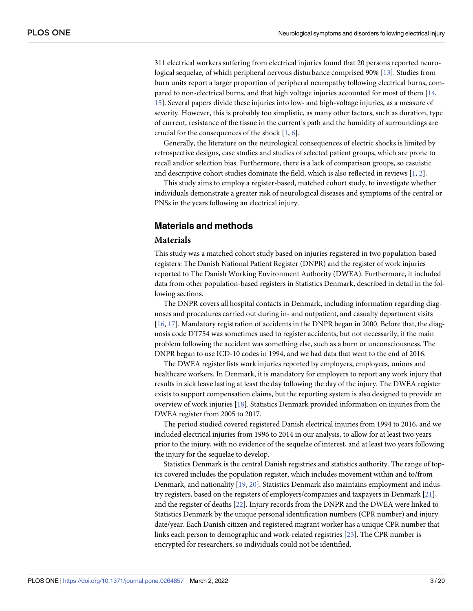<span id="page-2-0"></span>311 electrical workers suffering from electrical injuries found that 20 persons reported neurological sequelae, of which peripheral nervous disturbance comprised 90% [\[13\]](#page-18-0). Studies from burn units report a larger proportion of peripheral neuropathy following electrical burns, compared to non-electrical burns, and that high voltage injuries accounted for most of them [[14](#page-18-0), [15\]](#page-18-0). Several papers divide these injuries into low- and high-voltage injuries, as a measure of severity. However, this is probably too simplistic, as many other factors, such as duration, type of current, resistance of the tissue in the current's path and the humidity of surroundings are crucial for the consequences of the shock [\[1](#page-17-0), [6](#page-17-0)].

Generally, the literature on the neurological consequences of electric shocks is limited by retrospective designs, case studies and studies of selected patient groups, which are prone to recall and/or selection bias. Furthermore, there is a lack of comparison groups, so casuistic and descriptive cohort studies dominate the field, which is also reflected in reviews [\[1](#page-17-0), [2](#page-17-0)].

This study aims to employ a register-based, matched cohort study, to investigate whether individuals demonstrate a greater risk of neurological diseases and symptoms of the central or PNSs in the years following an electrical injury.

# **Materials and methods**

#### **Materials**

This study was a matched cohort study based on injuries registered in two population-based registers: The Danish National Patient Register (DNPR) and the register of work injuries reported to The Danish Working Environment Authority (DWEA). Furthermore, it included data from other population-based registers in Statistics Denmark, described in detail in the following sections.

The DNPR covers all hospital contacts in Denmark, including information regarding diagnoses and procedures carried out during in- and outpatient, and casualty department visits [\[16,](#page-18-0) [17\]](#page-18-0). Mandatory registration of accidents in the DNPR began in 2000. Before that, the diagnosis code DT754 was sometimes used to register accidents, but not necessarily, if the main problem following the accident was something else, such as a burn or unconsciousness. The DNPR began to use ICD-10 codes in 1994, and we had data that went to the end of 2016.

The DWEA register lists work injuries reported by employers, employees, unions and healthcare workers. In Denmark, it is mandatory for employers to report any work injury that results in sick leave lasting at least the day following the day of the injury. The DWEA register exists to support compensation claims, but the reporting system is also designed to provide an overview of work injuries [[18](#page-18-0)]. Statistics Denmark provided information on injuries from the DWEA register from 2005 to 2017.

The period studied covered registered Danish electrical injuries from 1994 to 2016, and we included electrical injuries from 1996 to 2014 in our analysis, to allow for at least two years prior to the injury, with no evidence of the sequelae of interest, and at least two years following the injury for the sequelae to develop.

Statistics Denmark is the central Danish registries and statistics authority. The range of topics covered includes the population register, which includes movement within and to/from Denmark, and nationality [[19](#page-18-0), [20](#page-18-0)]. Statistics Denmark also maintains employment and industry registers, based on the registers of employers/companies and taxpayers in Denmark [\[21\]](#page-18-0), and the register of deaths [\[22\]](#page-18-0). Injury records from the DNPR and the DWEA were linked to Statistics Denmark by the unique personal identification numbers (CPR number) and injury date/year. Each Danish citizen and registered migrant worker has a unique CPR number that links each person to demographic and work-related registries [\[23\]](#page-18-0). The CPR number is encrypted for researchers, so individuals could not be identified.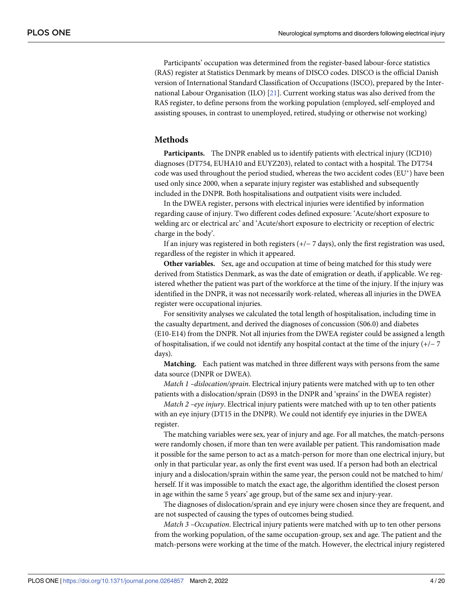<span id="page-3-0"></span>Participants' occupation was determined from the register-based labour-force statistics (RAS) register at Statistics Denmark by means of DISCO codes. DISCO is the official Danish version of International Standard Classification of Occupations (ISCO), prepared by the International Labour Organisation (ILO) [\[21\]](#page-18-0). Current working status was also derived from the RAS register, to define persons from the working population (employed, self-employed and assisting spouses, in contrast to unemployed, retired, studying or otherwise not working)

### **Methods**

**Participants.** The DNPR enabled us to identify patients with electrical injury (ICD10) diagnoses (DT754, EUHA10 and EUYZ203), related to contact with a hospital. The DT754 code was used throughout the period studied, whereas the two accident codes (EU\*) have been used only since 2000, when a separate injury register was established and subsequently included in the DNPR. Both hospitalisations and outpatient visits were included.

In the DWEA register, persons with electrical injuries were identified by information regarding cause of injury. Two different codes defined exposure: 'Acute/short exposure to welding arc or electrical arc' and 'Acute/short exposure to electricity or reception of electric charge in the body'.

If an injury was registered in both registers  $(+/- 7$  days), only the first registration was used, regardless of the register in which it appeared.

**Other variables.** Sex, age and occupation at time of being matched for this study were derived from Statistics Denmark, as was the date of emigration or death, if applicable. We registered whether the patient was part of the workforce at the time of the injury. If the injury was identified in the DNPR, it was not necessarily work-related, whereas all injuries in the DWEA register were occupational injuries.

For sensitivity analyses we calculated the total length of hospitalisation, including time in the casualty department, and derived the diagnoses of concussion (S06.0) and diabetes (E10-E14) from the DNPR. Not all injuries from the DWEA register could be assigned a length of hospitalisation, if we could not identify any hospital contact at the time of the injury (+/− 7 days).

**Matching.** Each patient was matched in three different ways with persons from the same data source (DNPR or DWEA).

*Match 1 –dislocation/sprain*. Electrical injury patients were matched with up to ten other patients with a dislocation/sprain (DS93 in the DNPR and 'sprains' in the DWEA register)

*Match 2 –eye injury*. Electrical injury patients were matched with up to ten other patients with an eye injury (DT15 in the DNPR). We could not identify eye injuries in the DWEA register.

The matching variables were sex, year of injury and age. For all matches, the match-persons were randomly chosen, if more than ten were available per patient. This randomisation made it possible for the same person to act as a match-person for more than one electrical injury, but only in that particular year, as only the first event was used. If a person had both an electrical injury and a dislocation/sprain within the same year, the person could not be matched to him/ herself. If it was impossible to match the exact age, the algorithm identified the closest person in age within the same 5 years' age group, but of the same sex and injury-year.

The diagnoses of dislocation/sprain and eye injury were chosen since they are frequent, and are not suspected of causing the types of outcomes being studied.

*Match 3 –Occupation*. Electrical injury patients were matched with up to ten other persons from the working population, of the same occupation-group, sex and age. The patient and the match-persons were working at the time of the match. However, the electrical injury registered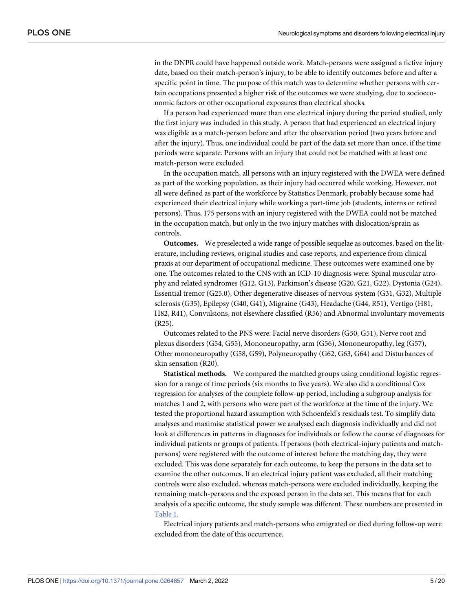in the DNPR could have happened outside work. Match-persons were assigned a fictive injury date, based on their match-person's injury, to be able to identify outcomes before and after a specific point in time. The purpose of this match was to determine whether persons with certain occupations presented a higher risk of the outcomes we were studying, due to socioeconomic factors or other occupational exposures than electrical shocks.

If a person had experienced more than one electrical injury during the period studied, only the first injury was included in this study. A person that had experienced an electrical injury was eligible as a match-person before and after the observation period (two years before and after the injury). Thus, one individual could be part of the data set more than once, if the time periods were separate. Persons with an injury that could not be matched with at least one match-person were excluded.

In the occupation match, all persons with an injury registered with the DWEA were defined as part of the working population, as their injury had occurred while working. However, not all were defined as part of the workforce by Statistics Denmark, probably because some had experienced their electrical injury while working a part-time job (students, interns or retired persons). Thus, 175 persons with an injury registered with the DWEA could not be matched in the occupation match, but only in the two injury matches with dislocation/sprain as controls.

**Outcomes.** We preselected a wide range of possible sequelae as outcomes, based on the literature, including reviews, original studies and case reports, and experience from clinical praxis at our department of occupational medicine. These outcomes were examined one by one. The outcomes related to the CNS with an ICD-10 diagnosis were: Spinal muscular atrophy and related syndromes (G12, G13), Parkinson's disease (G20, G21, G22), Dystonia (G24), Essential tremor (G25.0), Other degenerative diseases of nervous system (G31, G32), Multiple sclerosis (G35), Epilepsy (G40, G41), Migraine (G43), Headache (G44, R51), Vertigo (H81, H82, R41), Convulsions, not elsewhere classified (R56) and Abnormal involuntary movements (R25).

Outcomes related to the PNS were: Facial nerve disorders (G50, G51), Nerve root and plexus disorders (G54, G55), Mononeuropathy, arm (G56), Mononeuropathy, leg (G57), Other mononeuropathy (G58, G59), Polyneuropathy (G62, G63, G64) and Disturbances of skin sensation (R20).

**Statistical methods.** We compared the matched groups using conditional logistic regression for a range of time periods (six months to five years). We also did a conditional Cox regression for analyses of the complete follow-up period, including a subgroup analysis for matches 1 and 2, with persons who were part of the workforce at the time of the injury. We tested the proportional hazard assumption with Schoenfeld's residuals test. To simplify data analyses and maximise statistical power we analysed each diagnosis individually and did not look at differences in patterns in diagnoses for individuals or follow the course of diagnoses for individual patients or groups of patients. If persons (both electrical-injury patients and matchpersons) were registered with the outcome of interest before the matching day, they were excluded. This was done separately for each outcome, to keep the persons in the data set to examine the other outcomes. If an electrical injury patient was excluded, all their matching controls were also excluded, whereas match-persons were excluded individually, keeping the remaining match-persons and the exposed person in the data set. This means that for each analysis of a specific outcome, the study sample was different. These numbers are presented in [Table](#page-5-0) 1.

Electrical injury patients and match-persons who emigrated or died during follow-up were excluded from the date of this occurrence.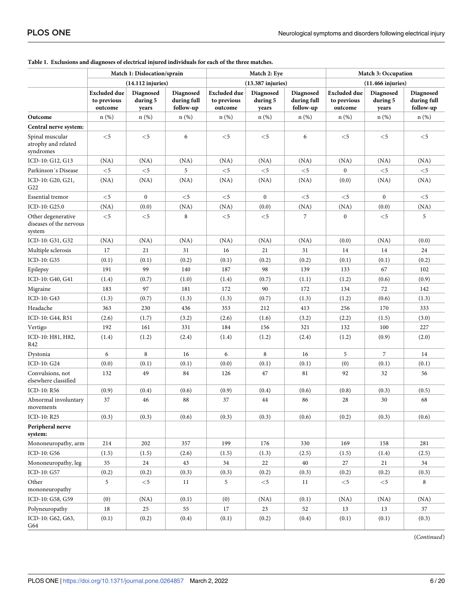|                                                         | Match 1: Dislocation/sprain                   |                                |                                       |                                               | Match 2: Eye                   |                                       | Match 3: Occupation                           |                                |                                       |  |
|---------------------------------------------------------|-----------------------------------------------|--------------------------------|---------------------------------------|-----------------------------------------------|--------------------------------|---------------------------------------|-----------------------------------------------|--------------------------------|---------------------------------------|--|
|                                                         | $(14.112$ injuries)                           |                                |                                       |                                               | $(13.387)$ injuries)           |                                       | $(11.466$ injuries)                           |                                |                                       |  |
|                                                         | <b>Excluded due</b><br>to previous<br>outcome | Diagnosed<br>during 5<br>years | Diagnosed<br>during full<br>follow-up | <b>Excluded</b> due<br>to previous<br>outcome | Diagnosed<br>during 5<br>years | Diagnosed<br>during full<br>follow-up | <b>Excluded</b> due<br>to previous<br>outcome | Diagnosed<br>during 5<br>years | Diagnosed<br>during full<br>follow-up |  |
| Outcome                                                 | $n(\%)$                                       | $n$ (%)                        | $n$ (%)                               | $n(\%)$                                       | $n$ (%)                        | n(%)                                  | $n$ (%)                                       | $n$ (%)                        | $n$ (%)                               |  |
| Central nerve system:                                   |                                               |                                |                                       |                                               |                                |                                       |                                               |                                |                                       |  |
| Spinal muscular<br>atrophy and related<br>syndromes     | $<$ 5                                         | $<$ 5                          | 6                                     | $<$ 5                                         | $<$ 5                          | 6                                     | $<$ 5                                         | $<$ 5                          | $<$ 5                                 |  |
| ICD-10: G12, G13                                        | (NA)                                          | (NA)                           | (NA)                                  | (NA)                                          | (NA)                           | (NA)                                  | (NA)                                          | (NA)                           | (NA)                                  |  |
| Parkinson's Disease                                     | $<$ 5                                         | $<$ 5                          | 5                                     | $<$ 5                                         | $<$ 5                          | $<$ 5                                 | $\boldsymbol{0}$                              | $<$ 5                          | $<$ 5                                 |  |
| ICD-10: G20, G21,<br>G22                                | (NA)                                          | (NA)                           | (NA)                                  | (NA)                                          | (NA)                           | (NA)                                  | (0.0)                                         | (NA)                           | (NA)                                  |  |
| <b>Essential tremor</b>                                 | $<$ 5                                         | $\boldsymbol{0}$               | $<$ 5                                 | $<$ 5                                         | $\boldsymbol{0}$               | $<$ 5                                 | $<$ 5                                         | $\mathbf{0}$                   | $<$ 5                                 |  |
| ICD-10: G25.0                                           | (NA)                                          | (0.0)                          | (NA)                                  | (NA)                                          | (0.0)                          | (NA)                                  | (NA)                                          | (0.0)                          | (NA)                                  |  |
| Other degenerative<br>diseases of the nervous<br>system | $<$ 5                                         | $<$ 5                          | 8                                     | $<$ 5                                         | $<$ 5                          | 7                                     | $\bf{0}$                                      | $<$ 5                          | 5                                     |  |
| ICD-10: G31, G32                                        | (NA)                                          | (NA)                           | (NA)                                  | (NA)                                          | (NA)                           | (NA)                                  | (0.0)                                         | (NA)                           | (0.0)                                 |  |
| Multiple sclerosis                                      | 17                                            | 21                             | 31                                    | 16                                            | 21                             | 31                                    | 14                                            | 14                             | 24                                    |  |
| ICD-10: G35                                             | (0.1)                                         | (0.1)                          | (0.2)                                 | (0.1)                                         | (0.2)                          | (0.2)                                 | (0.1)                                         | (0.1)                          | (0.2)                                 |  |
| Epilepsy                                                | 191                                           | 99                             | 140                                   | 187                                           | 98                             | 139                                   | 133                                           | 67                             | 102                                   |  |
| ICD-10: G40, G41                                        | (1.4)                                         | (0.7)                          | (1.0)                                 | (1.4)                                         | (0.7)                          | (1.1)                                 | (1.2)                                         | (0.6)                          | (0.9)                                 |  |
| Migraine                                                | 183                                           | 97                             | 181                                   | 172                                           | 90                             | 172                                   | 134                                           | 72                             | 142                                   |  |
| ICD-10: G43                                             | (1.3)                                         | (0.7)                          | (1.3)                                 | (1.3)                                         | (0.7)                          | (1.3)                                 | (1.2)                                         | (0.6)                          | (1.3)                                 |  |
| Headache                                                | 363                                           | 230                            | 436                                   | 353                                           | 212                            | 413                                   | 256                                           | 170                            | 333                                   |  |
| ICD-10: G44, R51                                        | (2.6)                                         | (1.7)                          | (3.2)                                 | (2.6)                                         | (1.6)                          | (3.2)                                 | (2.2)                                         | (1.5)                          | (3.0)                                 |  |
| Vertigo                                                 | 192                                           | 161                            | 331                                   | 184                                           | 156                            | 321                                   | 132                                           | 100                            | 227                                   |  |
| ICD-10: H81, H82,<br>R42                                | (1.4)                                         | (1.2)                          | (2.4)                                 | (1.4)                                         | (1.2)                          | (2.4)                                 | (1.2)                                         | (0.9)                          | (2.0)                                 |  |
| Dystonia                                                | 6                                             | 8                              | 16                                    | 6                                             | 8                              | 16                                    | 5                                             | 7                              | 14                                    |  |
| ICD-10: G24                                             | (0.0)                                         | (0.1)                          | (0.1)                                 | (0.0)                                         | (0.1)                          | (0.1)                                 | (0)                                           | (0.1)                          | (0.1)                                 |  |
| Convulsions, not<br>elsewhere classified                | 132                                           | 49                             | 84                                    | 126                                           | 47                             | 81                                    | 92                                            | 32                             | 56                                    |  |
| ICD-10: R56                                             | (0.9)                                         | (0.4)                          | (0.6)                                 | (0.9)                                         | (0.4)                          | (0.6)                                 | (0.8)                                         | (0.3)                          | (0.5)                                 |  |
| Abnormal involuntary<br>movements                       | 37                                            | 46                             | 88                                    | 37                                            | 44                             | 86                                    | 28                                            | 30                             | 68                                    |  |
| ICD-10: R25                                             | (0.3)                                         | (0.3)                          | (0.6)                                 | (0.3)                                         | (0.3)                          | (0.6)                                 | (0.2)                                         | (0.3)                          | (0.6)                                 |  |
| Peripheral nerve<br>system:                             |                                               |                                |                                       |                                               |                                |                                       |                                               |                                |                                       |  |
| Mononeuropathy, arm                                     | 214                                           | 202                            | 357                                   | 199                                           | 176                            | 330                                   | 169                                           | 158                            | 281                                   |  |
| ICD-10: G56                                             | (1.5)                                         | (1.5)                          | (2.6)                                 | (1.5)                                         | (1.3)                          | (2.5)                                 | (1.5)                                         | (1.4)                          | (2.5)                                 |  |
| Mononeuropathy, leg                                     | 35                                            | 24                             | 43                                    | 34                                            | 22                             | 40                                    | 27                                            | $21\,$                         | 34                                    |  |
| ICD-10: G57                                             | (0.2)                                         | (0.2)                          | (0.3)                                 | (0.3)                                         | (0.2)                          | (0.3)                                 | (0.2)                                         | (0.2)                          | (0.3)                                 |  |
| Other<br>mononeuropathy                                 | 5                                             | $<$ 5                          | 11                                    | 5                                             | $<$ 5                          | 11                                    | $<$ 5                                         | ${<}5\,$                       | 8                                     |  |
| ICD-10: G58, G59                                        | (0)                                           | (NA)                           | (0.1)                                 | (0)                                           | (NA)                           | (0.1)                                 | (NA)                                          | (NA)                           | (NA)                                  |  |
| Polyneuropathy                                          | $18\,$                                        | 25                             | 55                                    | 17                                            | 23                             | 52                                    | 13                                            | 13                             | 37                                    |  |
| ICD-10: G62, G63,<br>G64                                | (0.1)                                         | (0.2)                          | (0.4)                                 | (0.1)                                         | (0.2)                          | (0.4)                                 | (0.1)                                         | (0.1)                          | (0.3)                                 |  |

<span id="page-5-0"></span>**[Table](#page-7-0) 1. Exclusions and diagnoses of electrical injured individuals for each of the three matches.**

(*Continued*)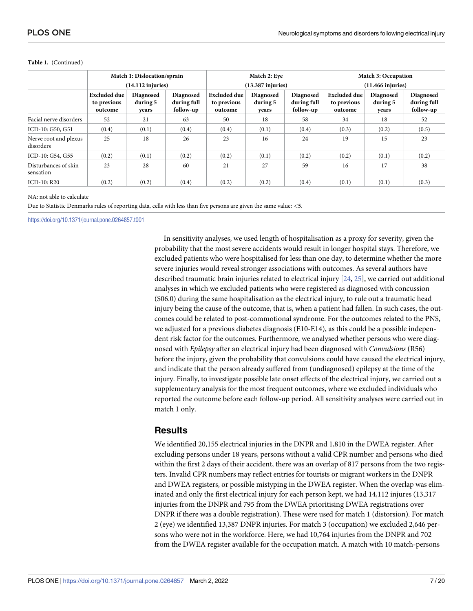|                                    |                                               | Match 1: Dislocation/sprain    |                                       |                                               | Match 2: Eye                   |                                       | Match 3: Occupation                           |                                |                                       |  |
|------------------------------------|-----------------------------------------------|--------------------------------|---------------------------------------|-----------------------------------------------|--------------------------------|---------------------------------------|-----------------------------------------------|--------------------------------|---------------------------------------|--|
|                                    | $(14.112$ injuries)                           |                                |                                       |                                               | $(13.387)$ injuries)           |                                       | $(11.466$ injuries)                           |                                |                                       |  |
|                                    | <b>Excluded due</b><br>to previous<br>outcome | Diagnosed<br>during 5<br>vears | Diagnosed<br>during full<br>follow-up | <b>Excluded due</b><br>to previous<br>outcome | Diagnosed<br>during 5<br>years | Diagnosed<br>during full<br>follow-up | <b>Excluded due</b><br>to previous<br>outcome | Diagnosed<br>during 5<br>vears | Diagnosed<br>during full<br>follow-up |  |
| Facial nerve disorders             | 52                                            | 21                             | 63                                    | 50                                            | 18                             | 58                                    | 34                                            | 18                             | 52                                    |  |
| ICD-10: G50, G51                   | (0.4)                                         | (0.1)                          | (0.4)                                 | (0.4)                                         | (0.1)                          | (0.4)                                 | (0.3)                                         | (0.2)                          | (0.5)                                 |  |
| Nerve root and plexus<br>disorders | 25                                            | 18                             | 26                                    | 23                                            | 16                             | 24                                    | 19                                            | 15                             | 23                                    |  |
| ICD-10: G54, G55                   | (0.2)                                         | (0.1)                          | (0.2)                                 | (0.2)                                         | (0.1)                          | (0.2)                                 | (0.2)                                         | (0.1)                          | (0.2)                                 |  |
| Disturbances of skin<br>sensation  | 23                                            | 28                             | 60                                    | 21                                            | 27                             | 59                                    | 16                                            | 17                             | 38                                    |  |
| ICD-10: R20                        | (0.2)                                         | (0.2)                          | (0.4)                                 | (0.2)                                         | (0.2)                          | (0.4)                                 | (0.1)                                         | (0.1)                          | (0.3)                                 |  |

#### <span id="page-6-0"></span>**Table 1.** (Continued)

#### NA: not able to calculate

Due to Statistic Denmarks rules of reporting data, cells with less than five persons are given the same value: *<*5.

<https://doi.org/10.1371/journal.pone.0264857.t001>

In sensitivity analyses, we used length of hospitalisation as a proxy for severity, given the probability that the most severe accidents would result in longer hospital stays. Therefore, we excluded patients who were hospitalised for less than one day, to determine whether the more severe injuries would reveal stronger associations with outcomes. As several authors have described traumatic brain injuries related to electrical injury [[24](#page-18-0), [25](#page-18-0)], we carried out additional analyses in which we excluded patients who were registered as diagnosed with concussion (S06.0) during the same hospitalisation as the electrical injury, to rule out a traumatic head injury being the cause of the outcome, that is, when a patient had fallen. In such cases, the outcomes could be related to post-commotional syndrome. For the outcomes related to the PNS, we adjusted for a previous diabetes diagnosis (E10-E14), as this could be a possible independent risk factor for the outcomes. Furthermore, we analysed whether persons who were diagnosed with *Epilepsy* after an electrical injury had been diagnosed with *Convulsions* (R56) before the injury, given the probability that convulsions could have caused the electrical injury, and indicate that the person already suffered from (undiagnosed) epilepsy at the time of the injury. Finally, to investigate possible late onset effects of the electrical injury, we carried out a supplementary analysis for the most frequent outcomes, where we excluded individuals who reported the outcome before each follow-up period. All sensitivity analyses were carried out in match 1 only.

## **Results**

We identified 20,155 electrical injuries in the DNPR and 1,810 in the DWEA register. After excluding persons under 18 years, persons without a valid CPR number and persons who died within the first 2 days of their accident, there was an overlap of 817 persons from the two registers. Invalid CPR numbers may reflect entries for tourists or migrant workers in the DNPR and DWEA registers, or possible mistyping in the DWEA register. When the overlap was eliminated and only the first electrical injury for each person kept, we had 14,112 injures (13,317 injuries from the DNPR and 795 from the DWEA prioritising DWEA registrations over DNPR if there was a double registration). These were used for match 1 (distorsion). For match 2 (eye) we identified 13,387 DNPR injuries. For match 3 (occupation) we excluded 2,646 persons who were not in the workforce. Here, we had 10,764 injuries from the DNPR and 702 from the DWEA register available for the occupation match. A match with 10 match-persons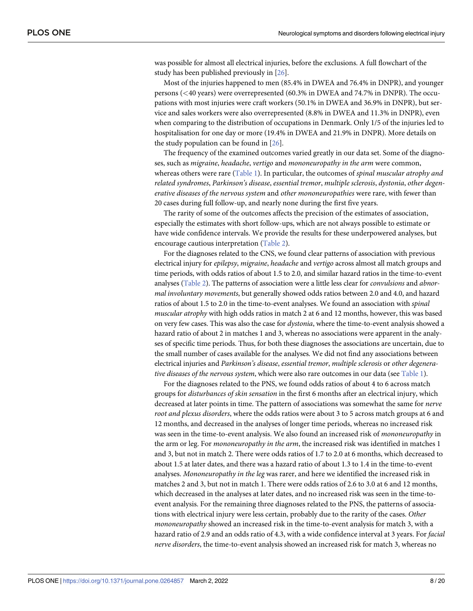<span id="page-7-0"></span>was possible for almost all electrical injuries, before the exclusions. A full flowchart of the study has been published previously in [\[26\]](#page-18-0).

Most of the injuries happened to men (85.4% in DWEA and 76.4% in DNPR), and younger persons (*<*40 years) were overrepresented (60.3% in DWEA and 74.7% in DNPR). The occupations with most injuries were craft workers (50.1% in DWEA and 36.9% in DNPR), but service and sales workers were also overrepresented (8.8% in DWEA and 11.3% in DNPR), even when comparing to the distribution of occupations in Denmark. Only 1/5 of the injuries led to hospitalisation for one day or more (19.4% in DWEA and 21.9% in DNPR). More details on the study population can be found in [\[26\]](#page-18-0).

The frequency of the examined outcomes varied greatly in our data set. Some of the diagnoses, such as *migraine*, *headache*, *vertigo* and *mononeuropathy in the arm* were common, whereas others were rare [\(Table](#page-5-0) 1). In particular, the outcomes of *spinal muscular atrophy and related syndromes*, *Parkinson's disease*, *essential tremor*, *multiple sclerosis*, *dystonia*, *other degenerative diseases of the nervous system* and *other mononeuropathies* were rare, with fewer than 20 cases during full follow-up, and nearly none during the first five years.

The rarity of some of the outcomes affects the precision of the estimates of association, especially the estimates with short follow-ups, which are not always possible to estimate or have wide confidence intervals. We provide the results for these underpowered analyses, but encourage cautious interpretation [\(Table](#page-8-0) 2).

For the diagnoses related to the CNS, we found clear patterns of association with previous electrical injury for *epilepsy*, *migraine*, *headache* and *vertigo* across almost all match groups and time periods, with odds ratios of about 1.5 to 2.0, and similar hazard ratios in the time-to-event analyses ([Table](#page-8-0) 2). The patterns of association were a little less clear for *convulsions* and *abnormal involuntary movements*, but generally showed odds ratios between 2.0 and 4.0, and hazard ratios of about 1.5 to 2.0 in the time-to-event analyses. We found an association with *spinal muscular atrophy* with high odds ratios in match 2 at 6 and 12 months, however, this was based on very few cases. This was also the case for *dystonia*, where the time-to-event analysis showed a hazard ratio of about 2 in matches 1 and 3, whereas no associations were apparent in the analyses of specific time periods. Thus, for both these diagnoses the associations are uncertain, due to the small number of cases available for the analyses. We did not find any associations between electrical injuries and *Parkinson's disease*, *essential tremor*, *multiple sclerosis* or *other degenerative diseases of the nervous system*, which were also rare outcomes in our data (see [Table](#page-5-0) 1).

For the diagnoses related to the PNS, we found odds ratios of about 4 to 6 across match groups for *disturbances of skin sensation* in the first 6 months after an electrical injury, which decreased at later points in time. The pattern of associations was somewhat the same for *nerve root and plexus disorders*, where the odds ratios were about 3 to 5 across match groups at 6 and 12 months, and decreased in the analyses of longer time periods, whereas no increased risk was seen in the time-to-event analysis. We also found an increased risk of *mononeuropathy* in the arm or leg. For *mononeuropathy in the arm*, the increased risk was identified in matches 1 and 3, but not in match 2. There were odds ratios of 1.7 to 2.0 at 6 months, which decreased to about 1.5 at later dates, and there was a hazard ratio of about 1.3 to 1.4 in the time-to-event analyses. *Mononeuropathy in the leg* was rarer, and here we identified the increased risk in matches 2 and 3, but not in match 1. There were odds ratios of 2.6 to 3.0 at 6 and 12 months, which decreased in the analyses at later dates, and no increased risk was seen in the time-toevent analysis. For the remaining three diagnoses related to the PNS, the patterns of associations with electrical injury were less certain, probably due to the rarity of the cases. *Other mononeuropathy* showed an increased risk in the time-to-event analysis for match 3, with a hazard ratio of 2.9 and an odds ratio of 4.3, with a wide confidence interval at 3 years. For *facial nerve disorders*, the time-to-event analysis showed an increased risk for match 3, whereas no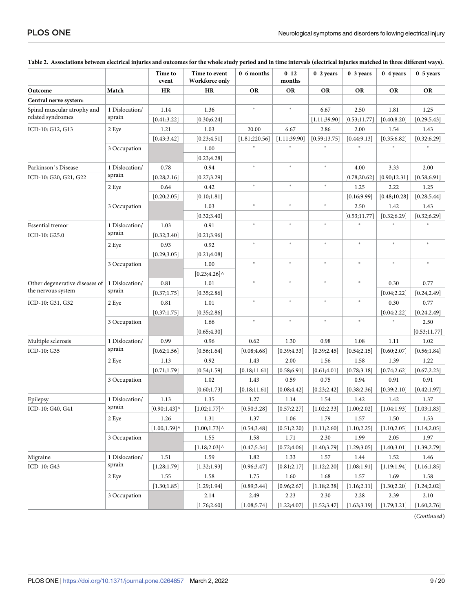| Match<br><b>HR</b><br><b>HR</b><br><b>OR</b><br><b>OR</b><br><b>OR</b><br><b>OR</b><br><b>OR</b><br><b>OR</b><br>$\ast$<br>$\ast$<br>1 Dislocation/<br>1.14<br>1.36<br>6.67<br>2.50<br>1.81<br>1.25<br>sprain<br>[0.30; 6.24]<br>[0.41; 3.22]<br>[1.11; 39.90]<br>[0.53; 11.77]<br>[0.40; 8.20]<br>[0.29; 5.43]<br>1.21<br>1.03<br>20.00<br>6.67<br>2.86<br>2 Eye<br>2.00<br>1.54<br>1.43<br>[0.43; 3.42]<br>[1.11; 39.90]<br>[0.59; 13.75]<br>[0.44; 9.13]<br>[0.35; 6.82]<br>[0.32; 6.29]<br>[0.23; 4.51]<br>[1.81;220.56]<br>1.00<br>3 Occupation<br>[0.23; 4.28]<br>×.<br>$\ast$<br>$\ast$<br>0.78<br>0.94<br>4.00<br>2.00<br>1 Dislocation/<br>3.33<br>sprain<br>[0.27; 3.29]<br>[0.78; 20.62]<br>[0.90; 12.31]<br>[0.58; 6.91]<br>[0.28; 2.16]<br>$\ast$<br>$\ast$<br>×.<br>0.64<br>0.42<br>2 Eye<br>1.25<br>2.22<br>1.25<br>[0.20;2.05]<br>[0.10;1.81]<br>[0.16; 9.99]<br>[0.48;10.28]<br>[0.28; 5.44]<br>$\ast$<br>$\ast$<br>$\ast$<br>1.03<br>3 Occupation<br>2.50<br>1.42<br>1.43<br>[0.32; 3.40]<br>[0.32; 6.29]<br>[0.32; 6.29]<br>[0.53;11.77]<br>$\ast$<br>$\ast$<br>$\ast$<br>1 Dislocation/<br>1.03<br>0.91<br>$\ast$<br>sprain<br>[0.32; 3.40]<br>[0.21; 3.96]<br>$\ast$<br>$\ast$<br>$\ast$<br>$\ast$<br>$\ast$<br>$\ast$<br>0.92<br>0.93<br>2 Eye<br>[0.29; 3.05]<br>[0.21; 4.08]<br>$\ast$<br>$\ast$<br>$\ast$<br>$\ast$<br>$\ast$<br>1.00<br>3 Occupation<br>[0.23; 4.26]<br>×.<br>$\ast$<br>$\ast$<br>$\ast$<br>1 Dislocation/<br>0.77<br>0.81<br>1.01<br>0.30<br>sprain<br>[0.35; 2.86]<br>[0.37;1.75]<br>[0.04;2.22]<br>[0.24, 2.49]<br>$\ast$<br>$\ast$<br>$\ast$<br>$\ast$<br>0.81<br>1.01<br>0.30<br>0.77<br>2 Eye<br>[0.37;1.75]<br>[0.35; 2.86]<br>[0.04;2.22]<br>[0.24, 2.49]<br>$\ast$<br>$\ast$<br>$\ast$<br>$\ast$<br>¥<br>1.66<br>2.50<br>3 Occupation<br>[0.65; 4.30]<br>[0.53;11.77]<br>1 Dislocation/<br>0.99<br>0.98<br>1.08<br>0.96<br>0.62<br>1.30<br>1.11<br>1.02<br>Multiple sclerosis<br>sprain<br>[0.08; 4.68]<br>[0.62; 1.56]<br>[0.56; 1.64]<br>[0.39; 4.33]<br>[0.39; 2.45]<br>[0.54;2.15]<br>[0.60; 2.07]<br>[0.56; 1.84]<br>1.13<br>0.92<br>2.00<br>1.56<br>1.43<br>1.58<br>1.39<br>1.22<br>2 Eye<br>[0.74; 2.62]<br>[0.67;2.23]<br>[0.71;1.79]<br>[0.54; 1.59]<br>[0.18; 11.61]<br>[0.58; 6.91]<br>[0.61; 4.01]<br>[0.78; 3.18]<br>1.02<br>0.59<br>0.94<br>0.91<br>0.91<br>3 Occupation<br>1.43<br>0.75<br>[0.60; 1.73]<br>[0.18; 11.61]<br>[0.08; 4.42]<br>[0.23; 2.42]<br>[0.38; 2.36]<br>[0.39;2.10]<br>[0.42;1.97]<br>1 Dislocation/<br>1.13<br>1.35<br>1.27<br>1.14<br>1.54<br>1.42<br>1.42<br>1.37<br>sprain<br>$[0.90;1.43]$ ^<br>[0.57; 2.27]<br>[1.02;2.33]<br>[1.00;2.02]<br>$[1.02;1.77]$ <sup>^</sup><br>[0.50; 3.28]<br>[1.04;1.93]<br>[1.03;1.83]<br>2 Eye<br>1.26<br>1.31<br>1.37<br>1.06<br>1.79<br>$1.50\,$<br>1.57<br>1.53<br>$[1.00;1.59]$ ^<br>[1.10;2.05]<br>[1.00;1.73]<br>[0.54; 3.48]<br>[0.51;2.20)<br>[1.11;2.60]<br>[1.10;2.25]<br>[1.14;2.05]<br>$1.55\,$<br>2.30<br>1.99<br>$2.05\,$<br>1.97<br>3 Occupation<br>1.58<br>1.71<br>$[1.18;2.03]$ ^<br>[0.47; 5.34]<br>[0.72; 4.06]<br>[1.40; 3.79]<br>[1.29; 3.05]<br>[1.40; 3.01]<br>[1.39;2.79]<br>1 Dislocation/<br>1.51<br>1.59<br>1.52<br>Migraine<br>1.82<br>1.33<br>1.57<br>1.44<br>1.46<br>sprain<br>[1.28;1.79]<br>[1.32;1.93]<br>[0.96; 3.47]<br>[0.81;2.17]<br>[1.12;2.20]<br>[1.08;1.91]<br>[1.19; 1.94]<br>[1.16; 1.85]<br>1.55<br>1.58<br>1.75<br>1.60<br>1.68<br>1.57<br>1.69<br>1.58<br>2 Eye |                                                      |  | Time to<br>event | Time to event<br>Workforce only | 0-6 months   | $0 - 12$<br>months | $0-2$ years  | $0-3$ years | $0-4$ years | $0-5$ years |
|-------------------------------------------------------------------------------------------------------------------------------------------------------------------------------------------------------------------------------------------------------------------------------------------------------------------------------------------------------------------------------------------------------------------------------------------------------------------------------------------------------------------------------------------------------------------------------------------------------------------------------------------------------------------------------------------------------------------------------------------------------------------------------------------------------------------------------------------------------------------------------------------------------------------------------------------------------------------------------------------------------------------------------------------------------------------------------------------------------------------------------------------------------------------------------------------------------------------------------------------------------------------------------------------------------------------------------------------------------------------------------------------------------------------------------------------------------------------------------------------------------------------------------------------------------------------------------------------------------------------------------------------------------------------------------------------------------------------------------------------------------------------------------------------------------------------------------------------------------------------------------------------------------------------------------------------------------------------------------------------------------------------------------------------------------------------------------------------------------------------------------------------------------------------------------------------------------------------------------------------------------------------------------------------------------------------------------------------------------------------------------------------------------------------------------------------------------------------------------------------------------------------------------------------------------------------------------------------------------------------------------------------------------------------------------------------------------------------------------------------------------------------------------------------------------------------------------------------------------------------------------------------------------------------------------------------------------------------------------------------------------------------------------------------------------------------------------------------------------------------------------------------------------------------------------------------------------------------------------------------------------------------------------------------------------------------------------------------------------------------------------------------------------------------------------------------|------------------------------------------------------|--|------------------|---------------------------------|--------------|--------------------|--------------|-------------|-------------|-------------|
|                                                                                                                                                                                                                                                                                                                                                                                                                                                                                                                                                                                                                                                                                                                                                                                                                                                                                                                                                                                                                                                                                                                                                                                                                                                                                                                                                                                                                                                                                                                                                                                                                                                                                                                                                                                                                                                                                                                                                                                                                                                                                                                                                                                                                                                                                                                                                                                                                                                                                                                                                                                                                                                                                                                                                                                                                                                                                                                                                                                                                                                                                                                                                                                                                                                                                                                                                                                                                                           | Outcome                                              |  |                  |                                 |              |                    |              |             |             |             |
|                                                                                                                                                                                                                                                                                                                                                                                                                                                                                                                                                                                                                                                                                                                                                                                                                                                                                                                                                                                                                                                                                                                                                                                                                                                                                                                                                                                                                                                                                                                                                                                                                                                                                                                                                                                                                                                                                                                                                                                                                                                                                                                                                                                                                                                                                                                                                                                                                                                                                                                                                                                                                                                                                                                                                                                                                                                                                                                                                                                                                                                                                                                                                                                                                                                                                                                                                                                                                                           | Central nerve system:                                |  |                  |                                 |              |                    |              |             |             |             |
|                                                                                                                                                                                                                                                                                                                                                                                                                                                                                                                                                                                                                                                                                                                                                                                                                                                                                                                                                                                                                                                                                                                                                                                                                                                                                                                                                                                                                                                                                                                                                                                                                                                                                                                                                                                                                                                                                                                                                                                                                                                                                                                                                                                                                                                                                                                                                                                                                                                                                                                                                                                                                                                                                                                                                                                                                                                                                                                                                                                                                                                                                                                                                                                                                                                                                                                                                                                                                                           | Spinal muscular atrophy and                          |  |                  |                                 |              |                    |              |             |             |             |
|                                                                                                                                                                                                                                                                                                                                                                                                                                                                                                                                                                                                                                                                                                                                                                                                                                                                                                                                                                                                                                                                                                                                                                                                                                                                                                                                                                                                                                                                                                                                                                                                                                                                                                                                                                                                                                                                                                                                                                                                                                                                                                                                                                                                                                                                                                                                                                                                                                                                                                                                                                                                                                                                                                                                                                                                                                                                                                                                                                                                                                                                                                                                                                                                                                                                                                                                                                                                                                           | related syndromes                                    |  |                  |                                 |              |                    |              |             |             |             |
|                                                                                                                                                                                                                                                                                                                                                                                                                                                                                                                                                                                                                                                                                                                                                                                                                                                                                                                                                                                                                                                                                                                                                                                                                                                                                                                                                                                                                                                                                                                                                                                                                                                                                                                                                                                                                                                                                                                                                                                                                                                                                                                                                                                                                                                                                                                                                                                                                                                                                                                                                                                                                                                                                                                                                                                                                                                                                                                                                                                                                                                                                                                                                                                                                                                                                                                                                                                                                                           | ICD-10: G12, G13                                     |  |                  |                                 |              |                    |              |             |             |             |
|                                                                                                                                                                                                                                                                                                                                                                                                                                                                                                                                                                                                                                                                                                                                                                                                                                                                                                                                                                                                                                                                                                                                                                                                                                                                                                                                                                                                                                                                                                                                                                                                                                                                                                                                                                                                                                                                                                                                                                                                                                                                                                                                                                                                                                                                                                                                                                                                                                                                                                                                                                                                                                                                                                                                                                                                                                                                                                                                                                                                                                                                                                                                                                                                                                                                                                                                                                                                                                           |                                                      |  |                  |                                 |              |                    |              |             |             |             |
|                                                                                                                                                                                                                                                                                                                                                                                                                                                                                                                                                                                                                                                                                                                                                                                                                                                                                                                                                                                                                                                                                                                                                                                                                                                                                                                                                                                                                                                                                                                                                                                                                                                                                                                                                                                                                                                                                                                                                                                                                                                                                                                                                                                                                                                                                                                                                                                                                                                                                                                                                                                                                                                                                                                                                                                                                                                                                                                                                                                                                                                                                                                                                                                                                                                                                                                                                                                                                                           |                                                      |  |                  |                                 |              |                    |              |             |             |             |
|                                                                                                                                                                                                                                                                                                                                                                                                                                                                                                                                                                                                                                                                                                                                                                                                                                                                                                                                                                                                                                                                                                                                                                                                                                                                                                                                                                                                                                                                                                                                                                                                                                                                                                                                                                                                                                                                                                                                                                                                                                                                                                                                                                                                                                                                                                                                                                                                                                                                                                                                                                                                                                                                                                                                                                                                                                                                                                                                                                                                                                                                                                                                                                                                                                                                                                                                                                                                                                           |                                                      |  |                  |                                 |              |                    |              |             |             |             |
|                                                                                                                                                                                                                                                                                                                                                                                                                                                                                                                                                                                                                                                                                                                                                                                                                                                                                                                                                                                                                                                                                                                                                                                                                                                                                                                                                                                                                                                                                                                                                                                                                                                                                                                                                                                                                                                                                                                                                                                                                                                                                                                                                                                                                                                                                                                                                                                                                                                                                                                                                                                                                                                                                                                                                                                                                                                                                                                                                                                                                                                                                                                                                                                                                                                                                                                                                                                                                                           | Parkinson's Disease                                  |  |                  |                                 |              |                    |              |             |             |             |
|                                                                                                                                                                                                                                                                                                                                                                                                                                                                                                                                                                                                                                                                                                                                                                                                                                                                                                                                                                                                                                                                                                                                                                                                                                                                                                                                                                                                                                                                                                                                                                                                                                                                                                                                                                                                                                                                                                                                                                                                                                                                                                                                                                                                                                                                                                                                                                                                                                                                                                                                                                                                                                                                                                                                                                                                                                                                                                                                                                                                                                                                                                                                                                                                                                                                                                                                                                                                                                           | ICD-10: G20, G21, G22                                |  |                  |                                 |              |                    |              |             |             |             |
|                                                                                                                                                                                                                                                                                                                                                                                                                                                                                                                                                                                                                                                                                                                                                                                                                                                                                                                                                                                                                                                                                                                                                                                                                                                                                                                                                                                                                                                                                                                                                                                                                                                                                                                                                                                                                                                                                                                                                                                                                                                                                                                                                                                                                                                                                                                                                                                                                                                                                                                                                                                                                                                                                                                                                                                                                                                                                                                                                                                                                                                                                                                                                                                                                                                                                                                                                                                                                                           |                                                      |  |                  |                                 |              |                    |              |             |             |             |
|                                                                                                                                                                                                                                                                                                                                                                                                                                                                                                                                                                                                                                                                                                                                                                                                                                                                                                                                                                                                                                                                                                                                                                                                                                                                                                                                                                                                                                                                                                                                                                                                                                                                                                                                                                                                                                                                                                                                                                                                                                                                                                                                                                                                                                                                                                                                                                                                                                                                                                                                                                                                                                                                                                                                                                                                                                                                                                                                                                                                                                                                                                                                                                                                                                                                                                                                                                                                                                           |                                                      |  |                  |                                 |              |                    |              |             |             |             |
|                                                                                                                                                                                                                                                                                                                                                                                                                                                                                                                                                                                                                                                                                                                                                                                                                                                                                                                                                                                                                                                                                                                                                                                                                                                                                                                                                                                                                                                                                                                                                                                                                                                                                                                                                                                                                                                                                                                                                                                                                                                                                                                                                                                                                                                                                                                                                                                                                                                                                                                                                                                                                                                                                                                                                                                                                                                                                                                                                                                                                                                                                                                                                                                                                                                                                                                                                                                                                                           |                                                      |  |                  |                                 |              |                    |              |             |             |             |
|                                                                                                                                                                                                                                                                                                                                                                                                                                                                                                                                                                                                                                                                                                                                                                                                                                                                                                                                                                                                                                                                                                                                                                                                                                                                                                                                                                                                                                                                                                                                                                                                                                                                                                                                                                                                                                                                                                                                                                                                                                                                                                                                                                                                                                                                                                                                                                                                                                                                                                                                                                                                                                                                                                                                                                                                                                                                                                                                                                                                                                                                                                                                                                                                                                                                                                                                                                                                                                           |                                                      |  |                  |                                 |              |                    |              |             |             |             |
|                                                                                                                                                                                                                                                                                                                                                                                                                                                                                                                                                                                                                                                                                                                                                                                                                                                                                                                                                                                                                                                                                                                                                                                                                                                                                                                                                                                                                                                                                                                                                                                                                                                                                                                                                                                                                                                                                                                                                                                                                                                                                                                                                                                                                                                                                                                                                                                                                                                                                                                                                                                                                                                                                                                                                                                                                                                                                                                                                                                                                                                                                                                                                                                                                                                                                                                                                                                                                                           | <b>Essential</b> tremor                              |  |                  |                                 |              |                    |              |             |             |             |
|                                                                                                                                                                                                                                                                                                                                                                                                                                                                                                                                                                                                                                                                                                                                                                                                                                                                                                                                                                                                                                                                                                                                                                                                                                                                                                                                                                                                                                                                                                                                                                                                                                                                                                                                                                                                                                                                                                                                                                                                                                                                                                                                                                                                                                                                                                                                                                                                                                                                                                                                                                                                                                                                                                                                                                                                                                                                                                                                                                                                                                                                                                                                                                                                                                                                                                                                                                                                                                           | ICD-10: G25.0                                        |  |                  |                                 |              |                    |              |             |             |             |
|                                                                                                                                                                                                                                                                                                                                                                                                                                                                                                                                                                                                                                                                                                                                                                                                                                                                                                                                                                                                                                                                                                                                                                                                                                                                                                                                                                                                                                                                                                                                                                                                                                                                                                                                                                                                                                                                                                                                                                                                                                                                                                                                                                                                                                                                                                                                                                                                                                                                                                                                                                                                                                                                                                                                                                                                                                                                                                                                                                                                                                                                                                                                                                                                                                                                                                                                                                                                                                           |                                                      |  |                  |                                 |              |                    |              |             |             |             |
|                                                                                                                                                                                                                                                                                                                                                                                                                                                                                                                                                                                                                                                                                                                                                                                                                                                                                                                                                                                                                                                                                                                                                                                                                                                                                                                                                                                                                                                                                                                                                                                                                                                                                                                                                                                                                                                                                                                                                                                                                                                                                                                                                                                                                                                                                                                                                                                                                                                                                                                                                                                                                                                                                                                                                                                                                                                                                                                                                                                                                                                                                                                                                                                                                                                                                                                                                                                                                                           |                                                      |  |                  |                                 |              |                    |              |             |             |             |
|                                                                                                                                                                                                                                                                                                                                                                                                                                                                                                                                                                                                                                                                                                                                                                                                                                                                                                                                                                                                                                                                                                                                                                                                                                                                                                                                                                                                                                                                                                                                                                                                                                                                                                                                                                                                                                                                                                                                                                                                                                                                                                                                                                                                                                                                                                                                                                                                                                                                                                                                                                                                                                                                                                                                                                                                                                                                                                                                                                                                                                                                                                                                                                                                                                                                                                                                                                                                                                           |                                                      |  |                  |                                 |              |                    |              |             |             |             |
|                                                                                                                                                                                                                                                                                                                                                                                                                                                                                                                                                                                                                                                                                                                                                                                                                                                                                                                                                                                                                                                                                                                                                                                                                                                                                                                                                                                                                                                                                                                                                                                                                                                                                                                                                                                                                                                                                                                                                                                                                                                                                                                                                                                                                                                                                                                                                                                                                                                                                                                                                                                                                                                                                                                                                                                                                                                                                                                                                                                                                                                                                                                                                                                                                                                                                                                                                                                                                                           |                                                      |  |                  |                                 |              |                    |              |             |             |             |
|                                                                                                                                                                                                                                                                                                                                                                                                                                                                                                                                                                                                                                                                                                                                                                                                                                                                                                                                                                                                                                                                                                                                                                                                                                                                                                                                                                                                                                                                                                                                                                                                                                                                                                                                                                                                                                                                                                                                                                                                                                                                                                                                                                                                                                                                                                                                                                                                                                                                                                                                                                                                                                                                                                                                                                                                                                                                                                                                                                                                                                                                                                                                                                                                                                                                                                                                                                                                                                           | Other degenerative diseases of<br>the nervous system |  |                  |                                 |              |                    |              |             |             |             |
|                                                                                                                                                                                                                                                                                                                                                                                                                                                                                                                                                                                                                                                                                                                                                                                                                                                                                                                                                                                                                                                                                                                                                                                                                                                                                                                                                                                                                                                                                                                                                                                                                                                                                                                                                                                                                                                                                                                                                                                                                                                                                                                                                                                                                                                                                                                                                                                                                                                                                                                                                                                                                                                                                                                                                                                                                                                                                                                                                                                                                                                                                                                                                                                                                                                                                                                                                                                                                                           |                                                      |  |                  |                                 |              |                    |              |             |             |             |
|                                                                                                                                                                                                                                                                                                                                                                                                                                                                                                                                                                                                                                                                                                                                                                                                                                                                                                                                                                                                                                                                                                                                                                                                                                                                                                                                                                                                                                                                                                                                                                                                                                                                                                                                                                                                                                                                                                                                                                                                                                                                                                                                                                                                                                                                                                                                                                                                                                                                                                                                                                                                                                                                                                                                                                                                                                                                                                                                                                                                                                                                                                                                                                                                                                                                                                                                                                                                                                           | ICD-10: G31, G32                                     |  |                  |                                 |              |                    |              |             |             |             |
|                                                                                                                                                                                                                                                                                                                                                                                                                                                                                                                                                                                                                                                                                                                                                                                                                                                                                                                                                                                                                                                                                                                                                                                                                                                                                                                                                                                                                                                                                                                                                                                                                                                                                                                                                                                                                                                                                                                                                                                                                                                                                                                                                                                                                                                                                                                                                                                                                                                                                                                                                                                                                                                                                                                                                                                                                                                                                                                                                                                                                                                                                                                                                                                                                                                                                                                                                                                                                                           |                                                      |  |                  |                                 |              |                    |              |             |             |             |
|                                                                                                                                                                                                                                                                                                                                                                                                                                                                                                                                                                                                                                                                                                                                                                                                                                                                                                                                                                                                                                                                                                                                                                                                                                                                                                                                                                                                                                                                                                                                                                                                                                                                                                                                                                                                                                                                                                                                                                                                                                                                                                                                                                                                                                                                                                                                                                                                                                                                                                                                                                                                                                                                                                                                                                                                                                                                                                                                                                                                                                                                                                                                                                                                                                                                                                                                                                                                                                           |                                                      |  |                  |                                 |              |                    |              |             |             |             |
|                                                                                                                                                                                                                                                                                                                                                                                                                                                                                                                                                                                                                                                                                                                                                                                                                                                                                                                                                                                                                                                                                                                                                                                                                                                                                                                                                                                                                                                                                                                                                                                                                                                                                                                                                                                                                                                                                                                                                                                                                                                                                                                                                                                                                                                                                                                                                                                                                                                                                                                                                                                                                                                                                                                                                                                                                                                                                                                                                                                                                                                                                                                                                                                                                                                                                                                                                                                                                                           |                                                      |  |                  |                                 |              |                    |              |             |             |             |
|                                                                                                                                                                                                                                                                                                                                                                                                                                                                                                                                                                                                                                                                                                                                                                                                                                                                                                                                                                                                                                                                                                                                                                                                                                                                                                                                                                                                                                                                                                                                                                                                                                                                                                                                                                                                                                                                                                                                                                                                                                                                                                                                                                                                                                                                                                                                                                                                                                                                                                                                                                                                                                                                                                                                                                                                                                                                                                                                                                                                                                                                                                                                                                                                                                                                                                                                                                                                                                           |                                                      |  |                  |                                 |              |                    |              |             |             |             |
|                                                                                                                                                                                                                                                                                                                                                                                                                                                                                                                                                                                                                                                                                                                                                                                                                                                                                                                                                                                                                                                                                                                                                                                                                                                                                                                                                                                                                                                                                                                                                                                                                                                                                                                                                                                                                                                                                                                                                                                                                                                                                                                                                                                                                                                                                                                                                                                                                                                                                                                                                                                                                                                                                                                                                                                                                                                                                                                                                                                                                                                                                                                                                                                                                                                                                                                                                                                                                                           | ICD-10: G35                                          |  |                  |                                 |              |                    |              |             |             |             |
|                                                                                                                                                                                                                                                                                                                                                                                                                                                                                                                                                                                                                                                                                                                                                                                                                                                                                                                                                                                                                                                                                                                                                                                                                                                                                                                                                                                                                                                                                                                                                                                                                                                                                                                                                                                                                                                                                                                                                                                                                                                                                                                                                                                                                                                                                                                                                                                                                                                                                                                                                                                                                                                                                                                                                                                                                                                                                                                                                                                                                                                                                                                                                                                                                                                                                                                                                                                                                                           |                                                      |  |                  |                                 |              |                    |              |             |             |             |
|                                                                                                                                                                                                                                                                                                                                                                                                                                                                                                                                                                                                                                                                                                                                                                                                                                                                                                                                                                                                                                                                                                                                                                                                                                                                                                                                                                                                                                                                                                                                                                                                                                                                                                                                                                                                                                                                                                                                                                                                                                                                                                                                                                                                                                                                                                                                                                                                                                                                                                                                                                                                                                                                                                                                                                                                                                                                                                                                                                                                                                                                                                                                                                                                                                                                                                                                                                                                                                           |                                                      |  |                  |                                 |              |                    |              |             |             |             |
|                                                                                                                                                                                                                                                                                                                                                                                                                                                                                                                                                                                                                                                                                                                                                                                                                                                                                                                                                                                                                                                                                                                                                                                                                                                                                                                                                                                                                                                                                                                                                                                                                                                                                                                                                                                                                                                                                                                                                                                                                                                                                                                                                                                                                                                                                                                                                                                                                                                                                                                                                                                                                                                                                                                                                                                                                                                                                                                                                                                                                                                                                                                                                                                                                                                                                                                                                                                                                                           |                                                      |  |                  |                                 |              |                    |              |             |             |             |
|                                                                                                                                                                                                                                                                                                                                                                                                                                                                                                                                                                                                                                                                                                                                                                                                                                                                                                                                                                                                                                                                                                                                                                                                                                                                                                                                                                                                                                                                                                                                                                                                                                                                                                                                                                                                                                                                                                                                                                                                                                                                                                                                                                                                                                                                                                                                                                                                                                                                                                                                                                                                                                                                                                                                                                                                                                                                                                                                                                                                                                                                                                                                                                                                                                                                                                                                                                                                                                           |                                                      |  |                  |                                 |              |                    |              |             |             |             |
|                                                                                                                                                                                                                                                                                                                                                                                                                                                                                                                                                                                                                                                                                                                                                                                                                                                                                                                                                                                                                                                                                                                                                                                                                                                                                                                                                                                                                                                                                                                                                                                                                                                                                                                                                                                                                                                                                                                                                                                                                                                                                                                                                                                                                                                                                                                                                                                                                                                                                                                                                                                                                                                                                                                                                                                                                                                                                                                                                                                                                                                                                                                                                                                                                                                                                                                                                                                                                                           | Epilepsy                                             |  |                  |                                 |              |                    |              |             |             |             |
|                                                                                                                                                                                                                                                                                                                                                                                                                                                                                                                                                                                                                                                                                                                                                                                                                                                                                                                                                                                                                                                                                                                                                                                                                                                                                                                                                                                                                                                                                                                                                                                                                                                                                                                                                                                                                                                                                                                                                                                                                                                                                                                                                                                                                                                                                                                                                                                                                                                                                                                                                                                                                                                                                                                                                                                                                                                                                                                                                                                                                                                                                                                                                                                                                                                                                                                                                                                                                                           | ICD-10: G40, G41                                     |  |                  |                                 |              |                    |              |             |             |             |
|                                                                                                                                                                                                                                                                                                                                                                                                                                                                                                                                                                                                                                                                                                                                                                                                                                                                                                                                                                                                                                                                                                                                                                                                                                                                                                                                                                                                                                                                                                                                                                                                                                                                                                                                                                                                                                                                                                                                                                                                                                                                                                                                                                                                                                                                                                                                                                                                                                                                                                                                                                                                                                                                                                                                                                                                                                                                                                                                                                                                                                                                                                                                                                                                                                                                                                                                                                                                                                           |                                                      |  |                  |                                 |              |                    |              |             |             |             |
|                                                                                                                                                                                                                                                                                                                                                                                                                                                                                                                                                                                                                                                                                                                                                                                                                                                                                                                                                                                                                                                                                                                                                                                                                                                                                                                                                                                                                                                                                                                                                                                                                                                                                                                                                                                                                                                                                                                                                                                                                                                                                                                                                                                                                                                                                                                                                                                                                                                                                                                                                                                                                                                                                                                                                                                                                                                                                                                                                                                                                                                                                                                                                                                                                                                                                                                                                                                                                                           |                                                      |  |                  |                                 |              |                    |              |             |             |             |
|                                                                                                                                                                                                                                                                                                                                                                                                                                                                                                                                                                                                                                                                                                                                                                                                                                                                                                                                                                                                                                                                                                                                                                                                                                                                                                                                                                                                                                                                                                                                                                                                                                                                                                                                                                                                                                                                                                                                                                                                                                                                                                                                                                                                                                                                                                                                                                                                                                                                                                                                                                                                                                                                                                                                                                                                                                                                                                                                                                                                                                                                                                                                                                                                                                                                                                                                                                                                                                           |                                                      |  |                  |                                 |              |                    |              |             |             |             |
|                                                                                                                                                                                                                                                                                                                                                                                                                                                                                                                                                                                                                                                                                                                                                                                                                                                                                                                                                                                                                                                                                                                                                                                                                                                                                                                                                                                                                                                                                                                                                                                                                                                                                                                                                                                                                                                                                                                                                                                                                                                                                                                                                                                                                                                                                                                                                                                                                                                                                                                                                                                                                                                                                                                                                                                                                                                                                                                                                                                                                                                                                                                                                                                                                                                                                                                                                                                                                                           |                                                      |  |                  |                                 |              |                    |              |             |             |             |
|                                                                                                                                                                                                                                                                                                                                                                                                                                                                                                                                                                                                                                                                                                                                                                                                                                                                                                                                                                                                                                                                                                                                                                                                                                                                                                                                                                                                                                                                                                                                                                                                                                                                                                                                                                                                                                                                                                                                                                                                                                                                                                                                                                                                                                                                                                                                                                                                                                                                                                                                                                                                                                                                                                                                                                                                                                                                                                                                                                                                                                                                                                                                                                                                                                                                                                                                                                                                                                           |                                                      |  |                  |                                 |              |                    |              |             |             |             |
|                                                                                                                                                                                                                                                                                                                                                                                                                                                                                                                                                                                                                                                                                                                                                                                                                                                                                                                                                                                                                                                                                                                                                                                                                                                                                                                                                                                                                                                                                                                                                                                                                                                                                                                                                                                                                                                                                                                                                                                                                                                                                                                                                                                                                                                                                                                                                                                                                                                                                                                                                                                                                                                                                                                                                                                                                                                                                                                                                                                                                                                                                                                                                                                                                                                                                                                                                                                                                                           | ICD-10: G43                                          |  |                  |                                 |              |                    |              |             |             |             |
|                                                                                                                                                                                                                                                                                                                                                                                                                                                                                                                                                                                                                                                                                                                                                                                                                                                                                                                                                                                                                                                                                                                                                                                                                                                                                                                                                                                                                                                                                                                                                                                                                                                                                                                                                                                                                                                                                                                                                                                                                                                                                                                                                                                                                                                                                                                                                                                                                                                                                                                                                                                                                                                                                                                                                                                                                                                                                                                                                                                                                                                                                                                                                                                                                                                                                                                                                                                                                                           |                                                      |  |                  |                                 |              |                    |              |             |             |             |
|                                                                                                                                                                                                                                                                                                                                                                                                                                                                                                                                                                                                                                                                                                                                                                                                                                                                                                                                                                                                                                                                                                                                                                                                                                                                                                                                                                                                                                                                                                                                                                                                                                                                                                                                                                                                                                                                                                                                                                                                                                                                                                                                                                                                                                                                                                                                                                                                                                                                                                                                                                                                                                                                                                                                                                                                                                                                                                                                                                                                                                                                                                                                                                                                                                                                                                                                                                                                                                           |                                                      |  | [1.30;1.85]      | [1.29;1.94]                     | [0.89; 3.44] | [0.96; 2.67]       | [1.18; 2.38] | [1.16;2.11] | [1.30;2.20] | [1.24;2.02] |
| 3 Occupation<br>2.14<br>2.49<br>2.23<br>2.30<br>2.28<br>2.39<br>2.10                                                                                                                                                                                                                                                                                                                                                                                                                                                                                                                                                                                                                                                                                                                                                                                                                                                                                                                                                                                                                                                                                                                                                                                                                                                                                                                                                                                                                                                                                                                                                                                                                                                                                                                                                                                                                                                                                                                                                                                                                                                                                                                                                                                                                                                                                                                                                                                                                                                                                                                                                                                                                                                                                                                                                                                                                                                                                                                                                                                                                                                                                                                                                                                                                                                                                                                                                                      |                                                      |  |                  |                                 |              |                    |              |             |             |             |
| [1.76;2.60]<br>[1.08; 5.74]<br>[1.22; 4.07]<br>[1.52; 3.47]<br>[1.63; 3.19]<br>[1.79; 3.21]<br>[1.60;2.76]                                                                                                                                                                                                                                                                                                                                                                                                                                                                                                                                                                                                                                                                                                                                                                                                                                                                                                                                                                                                                                                                                                                                                                                                                                                                                                                                                                                                                                                                                                                                                                                                                                                                                                                                                                                                                                                                                                                                                                                                                                                                                                                                                                                                                                                                                                                                                                                                                                                                                                                                                                                                                                                                                                                                                                                                                                                                                                                                                                                                                                                                                                                                                                                                                                                                                                                                |                                                      |  |                  |                                 |              |                    |              |             |             |             |

#### <span id="page-8-0"></span>[Table](#page-11-0) 2. Associations between electrical injuries and outcomes for the whole study period and in time intervals (electrical injuries matched in three different ways).

(*Continued*)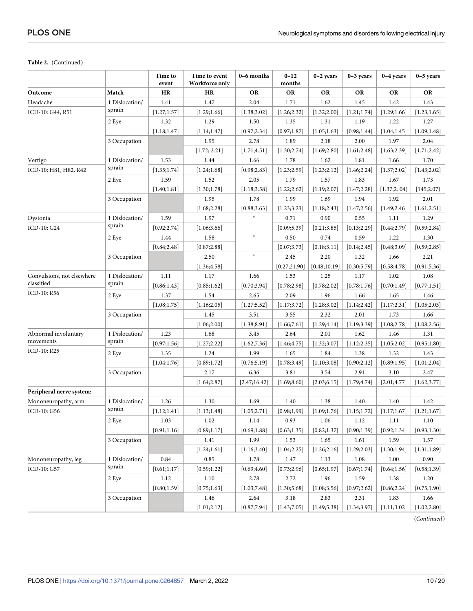#### **Table 2.** (Continued)

| Match<br>HR<br><b>OR</b><br><b>OR</b><br>Outcome<br>HR<br>OR<br>OR<br><b>OR</b><br><b>OR</b><br>Headache<br>1 Dislocation/<br>1.47<br>2.04<br>1.62<br>1.45<br>1.42<br>1.41<br>1.71<br>1.43<br>sprain<br>ICD-10: G44, R51<br>[1.27;1.57]<br>[1.29;1.66]<br>[1.38; 3.02]<br>[1.26; 2.32]<br>[1.32;2.00]<br>[1.21;1.74]<br>[1.29;1.66]<br>[1.23;1.65]<br>2 Eye<br>1.32<br>1.29<br>1.50<br>1.35<br>1.31<br>1.19<br>1.22<br>1.27<br>[0.97;1.87]<br>[0.98; 1.44]<br>[1.09;1.48]<br>[1.18; 1.47]<br>[1.14; 1.47]<br>[0.97; 2.34]<br>[1.05;1.63]<br>[1.04; 1.45]<br>3 Occupation<br>1.95<br>2.78<br>1.89<br>2.18<br>2.00<br>1.97<br>2.04<br>[1.30;2.74]<br>[1.69; 2.80]<br>[1.72; 2.21]<br>[1.71; 4.51]<br>[1.61;2.48]<br>[1.63;2.39]<br>[1.71;2.42]<br>1 Dislocation/<br>1.53<br>Vertigo<br>1.44<br>1.66<br>1.78<br>1.62<br>1.81<br>1.66<br>1.70<br>sprain<br>ICD-10: H81, H82, R42<br>[1.35;1.74]<br>[1.24;1.68]<br>[0.98; 2.83]<br>[1.23;2.59]<br>[1.23;2.12]<br>[1.46;2.24]<br>[1.37;2.02]<br>[1.43;2.02]<br>1.59<br>1.52<br>2.05<br>1.79<br>1.57<br>1.83<br>1.67<br>1.73<br>2 Eye<br>[1.30;1.78]<br>[1.40;1.81]<br>[1.18; 3.58]<br>[1.22; 2.62]<br>[1.19;2.07]<br>[1.47;2.28]<br>[1.37;2.04]<br>[145;2.07]<br>1.99<br>3 Occupation<br>1.95<br>1.78<br>1.69<br>1.94<br>1.92<br>2.01<br>[1.68;2.28]<br>[0.88; 3.63]<br>[1.23; 3.23]<br>[1.18;2.43]<br>[1.47;2.56]<br>[1.49; 2.46]<br>[1.61;2.51]<br>$\ast$<br>1 Dislocation/<br>1.97<br>0.90<br>Dystonia<br>1.59<br>0.71<br>0.55<br>1.11<br>1.29<br>sprain<br>ICD-10: G24<br>[0.92; 2.74]<br>[1.06; 3.66]<br>[0.09; 5.39]<br>[0.21; 3.85]<br>[0.13; 2.29]<br>[0.59; 2.84]<br>[0.44;2.79]<br>$\ast$<br>2 Eye<br>1.44<br>1.58<br>0.50<br>0.74<br>0.59<br>1.22<br>1.30<br>[0.87; 2.88]<br>[0.84; 2.48]<br>[0.07; 3.73]<br>[0.18; 3.11]<br>[0.14; 2.45]<br>[0.48; 3.09]<br>[0.59; 2.85]<br>$\ast$<br>2.45<br>2.20<br>1.32<br>1.66<br>2.50<br>2.21<br>3 Occupation<br>[0.48;10.19]<br>[0.91; 5.36]<br>[1.36; 4.58]<br>[0.27;21.90]<br>[0.30; 5.79]<br>[0.58; 4.78]<br>Convulsions, not elsewhere<br>1 Dislocation/<br>1.11<br>1.66<br>1.53<br>1.25<br>1.17<br>1.17<br>1.02<br>1.08<br>classified<br>sprain<br>[0.85;1.62]<br>[0.86; 1.43]<br>[0.70; 3.94]<br>[0.78; 2.98]<br>[0.78; 2.02]<br>[0.78;1.76]<br>[0.70;1.49]<br>[0.77;1.51]<br>ICD-10: R56<br>1.37<br>1.54<br>2.09<br>2 Eye<br>2.65<br>1.96<br>1.66<br>1.65<br>1.46<br>[1.08;1.75]<br>[1.16;2.05]<br>[1.27; 5.52]<br>[1.17; 3.72]<br>[1.28; 3.02]<br>[1.14;2.42]<br>[1.17;2.31]<br>[1.05;2.03]<br>3 Occupation<br>1.45<br>3.51<br>3.55<br>2.32<br>2.01<br>1.73<br>1.66 |  |  | Time to<br>event | Time to event<br>Workforce only | 0-6 months   | $0 - 12$<br>months | $0-2$ years  | $0-3$ years  | $0-4$ years | $0-5$ years |
|-------------------------------------------------------------------------------------------------------------------------------------------------------------------------------------------------------------------------------------------------------------------------------------------------------------------------------------------------------------------------------------------------------------------------------------------------------------------------------------------------------------------------------------------------------------------------------------------------------------------------------------------------------------------------------------------------------------------------------------------------------------------------------------------------------------------------------------------------------------------------------------------------------------------------------------------------------------------------------------------------------------------------------------------------------------------------------------------------------------------------------------------------------------------------------------------------------------------------------------------------------------------------------------------------------------------------------------------------------------------------------------------------------------------------------------------------------------------------------------------------------------------------------------------------------------------------------------------------------------------------------------------------------------------------------------------------------------------------------------------------------------------------------------------------------------------------------------------------------------------------------------------------------------------------------------------------------------------------------------------------------------------------------------------------------------------------------------------------------------------------------------------------------------------------------------------------------------------------------------------------------------------------------------------------------------------------------------------------------------------------------------------------------------------------------------------------------------------------------------------------------------------------------------------------------------------------|--|--|------------------|---------------------------------|--------------|--------------------|--------------|--------------|-------------|-------------|
|                                                                                                                                                                                                                                                                                                                                                                                                                                                                                                                                                                                                                                                                                                                                                                                                                                                                                                                                                                                                                                                                                                                                                                                                                                                                                                                                                                                                                                                                                                                                                                                                                                                                                                                                                                                                                                                                                                                                                                                                                                                                                                                                                                                                                                                                                                                                                                                                                                                                                                                                                                         |  |  |                  |                                 |              |                    |              |              |             |             |
|                                                                                                                                                                                                                                                                                                                                                                                                                                                                                                                                                                                                                                                                                                                                                                                                                                                                                                                                                                                                                                                                                                                                                                                                                                                                                                                                                                                                                                                                                                                                                                                                                                                                                                                                                                                                                                                                                                                                                                                                                                                                                                                                                                                                                                                                                                                                                                                                                                                                                                                                                                         |  |  |                  |                                 |              |                    |              |              |             |             |
|                                                                                                                                                                                                                                                                                                                                                                                                                                                                                                                                                                                                                                                                                                                                                                                                                                                                                                                                                                                                                                                                                                                                                                                                                                                                                                                                                                                                                                                                                                                                                                                                                                                                                                                                                                                                                                                                                                                                                                                                                                                                                                                                                                                                                                                                                                                                                                                                                                                                                                                                                                         |  |  |                  |                                 |              |                    |              |              |             |             |
|                                                                                                                                                                                                                                                                                                                                                                                                                                                                                                                                                                                                                                                                                                                                                                                                                                                                                                                                                                                                                                                                                                                                                                                                                                                                                                                                                                                                                                                                                                                                                                                                                                                                                                                                                                                                                                                                                                                                                                                                                                                                                                                                                                                                                                                                                                                                                                                                                                                                                                                                                                         |  |  |                  |                                 |              |                    |              |              |             |             |
|                                                                                                                                                                                                                                                                                                                                                                                                                                                                                                                                                                                                                                                                                                                                                                                                                                                                                                                                                                                                                                                                                                                                                                                                                                                                                                                                                                                                                                                                                                                                                                                                                                                                                                                                                                                                                                                                                                                                                                                                                                                                                                                                                                                                                                                                                                                                                                                                                                                                                                                                                                         |  |  |                  |                                 |              |                    |              |              |             |             |
|                                                                                                                                                                                                                                                                                                                                                                                                                                                                                                                                                                                                                                                                                                                                                                                                                                                                                                                                                                                                                                                                                                                                                                                                                                                                                                                                                                                                                                                                                                                                                                                                                                                                                                                                                                                                                                                                                                                                                                                                                                                                                                                                                                                                                                                                                                                                                                                                                                                                                                                                                                         |  |  |                  |                                 |              |                    |              |              |             |             |
|                                                                                                                                                                                                                                                                                                                                                                                                                                                                                                                                                                                                                                                                                                                                                                                                                                                                                                                                                                                                                                                                                                                                                                                                                                                                                                                                                                                                                                                                                                                                                                                                                                                                                                                                                                                                                                                                                                                                                                                                                                                                                                                                                                                                                                                                                                                                                                                                                                                                                                                                                                         |  |  |                  |                                 |              |                    |              |              |             |             |
|                                                                                                                                                                                                                                                                                                                                                                                                                                                                                                                                                                                                                                                                                                                                                                                                                                                                                                                                                                                                                                                                                                                                                                                                                                                                                                                                                                                                                                                                                                                                                                                                                                                                                                                                                                                                                                                                                                                                                                                                                                                                                                                                                                                                                                                                                                                                                                                                                                                                                                                                                                         |  |  |                  |                                 |              |                    |              |              |             |             |
|                                                                                                                                                                                                                                                                                                                                                                                                                                                                                                                                                                                                                                                                                                                                                                                                                                                                                                                                                                                                                                                                                                                                                                                                                                                                                                                                                                                                                                                                                                                                                                                                                                                                                                                                                                                                                                                                                                                                                                                                                                                                                                                                                                                                                                                                                                                                                                                                                                                                                                                                                                         |  |  |                  |                                 |              |                    |              |              |             |             |
|                                                                                                                                                                                                                                                                                                                                                                                                                                                                                                                                                                                                                                                                                                                                                                                                                                                                                                                                                                                                                                                                                                                                                                                                                                                                                                                                                                                                                                                                                                                                                                                                                                                                                                                                                                                                                                                                                                                                                                                                                                                                                                                                                                                                                                                                                                                                                                                                                                                                                                                                                                         |  |  |                  |                                 |              |                    |              |              |             |             |
|                                                                                                                                                                                                                                                                                                                                                                                                                                                                                                                                                                                                                                                                                                                                                                                                                                                                                                                                                                                                                                                                                                                                                                                                                                                                                                                                                                                                                                                                                                                                                                                                                                                                                                                                                                                                                                                                                                                                                                                                                                                                                                                                                                                                                                                                                                                                                                                                                                                                                                                                                                         |  |  |                  |                                 |              |                    |              |              |             |             |
|                                                                                                                                                                                                                                                                                                                                                                                                                                                                                                                                                                                                                                                                                                                                                                                                                                                                                                                                                                                                                                                                                                                                                                                                                                                                                                                                                                                                                                                                                                                                                                                                                                                                                                                                                                                                                                                                                                                                                                                                                                                                                                                                                                                                                                                                                                                                                                                                                                                                                                                                                                         |  |  |                  |                                 |              |                    |              |              |             |             |
|                                                                                                                                                                                                                                                                                                                                                                                                                                                                                                                                                                                                                                                                                                                                                                                                                                                                                                                                                                                                                                                                                                                                                                                                                                                                                                                                                                                                                                                                                                                                                                                                                                                                                                                                                                                                                                                                                                                                                                                                                                                                                                                                                                                                                                                                                                                                                                                                                                                                                                                                                                         |  |  |                  |                                 |              |                    |              |              |             |             |
|                                                                                                                                                                                                                                                                                                                                                                                                                                                                                                                                                                                                                                                                                                                                                                                                                                                                                                                                                                                                                                                                                                                                                                                                                                                                                                                                                                                                                                                                                                                                                                                                                                                                                                                                                                                                                                                                                                                                                                                                                                                                                                                                                                                                                                                                                                                                                                                                                                                                                                                                                                         |  |  |                  |                                 |              |                    |              |              |             |             |
|                                                                                                                                                                                                                                                                                                                                                                                                                                                                                                                                                                                                                                                                                                                                                                                                                                                                                                                                                                                                                                                                                                                                                                                                                                                                                                                                                                                                                                                                                                                                                                                                                                                                                                                                                                                                                                                                                                                                                                                                                                                                                                                                                                                                                                                                                                                                                                                                                                                                                                                                                                         |  |  |                  |                                 |              |                    |              |              |             |             |
|                                                                                                                                                                                                                                                                                                                                                                                                                                                                                                                                                                                                                                                                                                                                                                                                                                                                                                                                                                                                                                                                                                                                                                                                                                                                                                                                                                                                                                                                                                                                                                                                                                                                                                                                                                                                                                                                                                                                                                                                                                                                                                                                                                                                                                                                                                                                                                                                                                                                                                                                                                         |  |  |                  |                                 |              |                    |              |              |             |             |
|                                                                                                                                                                                                                                                                                                                                                                                                                                                                                                                                                                                                                                                                                                                                                                                                                                                                                                                                                                                                                                                                                                                                                                                                                                                                                                                                                                                                                                                                                                                                                                                                                                                                                                                                                                                                                                                                                                                                                                                                                                                                                                                                                                                                                                                                                                                                                                                                                                                                                                                                                                         |  |  |                  |                                 |              |                    |              |              |             |             |
|                                                                                                                                                                                                                                                                                                                                                                                                                                                                                                                                                                                                                                                                                                                                                                                                                                                                                                                                                                                                                                                                                                                                                                                                                                                                                                                                                                                                                                                                                                                                                                                                                                                                                                                                                                                                                                                                                                                                                                                                                                                                                                                                                                                                                                                                                                                                                                                                                                                                                                                                                                         |  |  |                  |                                 |              |                    |              |              |             |             |
|                                                                                                                                                                                                                                                                                                                                                                                                                                                                                                                                                                                                                                                                                                                                                                                                                                                                                                                                                                                                                                                                                                                                                                                                                                                                                                                                                                                                                                                                                                                                                                                                                                                                                                                                                                                                                                                                                                                                                                                                                                                                                                                                                                                                                                                                                                                                                                                                                                                                                                                                                                         |  |  |                  |                                 |              |                    |              |              |             |             |
|                                                                                                                                                                                                                                                                                                                                                                                                                                                                                                                                                                                                                                                                                                                                                                                                                                                                                                                                                                                                                                                                                                                                                                                                                                                                                                                                                                                                                                                                                                                                                                                                                                                                                                                                                                                                                                                                                                                                                                                                                                                                                                                                                                                                                                                                                                                                                                                                                                                                                                                                                                         |  |  |                  |                                 |              |                    |              |              |             |             |
|                                                                                                                                                                                                                                                                                                                                                                                                                                                                                                                                                                                                                                                                                                                                                                                                                                                                                                                                                                                                                                                                                                                                                                                                                                                                                                                                                                                                                                                                                                                                                                                                                                                                                                                                                                                                                                                                                                                                                                                                                                                                                                                                                                                                                                                                                                                                                                                                                                                                                                                                                                         |  |  |                  |                                 |              |                    |              |              |             |             |
|                                                                                                                                                                                                                                                                                                                                                                                                                                                                                                                                                                                                                                                                                                                                                                                                                                                                                                                                                                                                                                                                                                                                                                                                                                                                                                                                                                                                                                                                                                                                                                                                                                                                                                                                                                                                                                                                                                                                                                                                                                                                                                                                                                                                                                                                                                                                                                                                                                                                                                                                                                         |  |  |                  |                                 |              |                    |              |              |             |             |
|                                                                                                                                                                                                                                                                                                                                                                                                                                                                                                                                                                                                                                                                                                                                                                                                                                                                                                                                                                                                                                                                                                                                                                                                                                                                                                                                                                                                                                                                                                                                                                                                                                                                                                                                                                                                                                                                                                                                                                                                                                                                                                                                                                                                                                                                                                                                                                                                                                                                                                                                                                         |  |  |                  |                                 |              |                    |              |              |             |             |
|                                                                                                                                                                                                                                                                                                                                                                                                                                                                                                                                                                                                                                                                                                                                                                                                                                                                                                                                                                                                                                                                                                                                                                                                                                                                                                                                                                                                                                                                                                                                                                                                                                                                                                                                                                                                                                                                                                                                                                                                                                                                                                                                                                                                                                                                                                                                                                                                                                                                                                                                                                         |  |  |                  |                                 |              |                    |              |              |             |             |
|                                                                                                                                                                                                                                                                                                                                                                                                                                                                                                                                                                                                                                                                                                                                                                                                                                                                                                                                                                                                                                                                                                                                                                                                                                                                                                                                                                                                                                                                                                                                                                                                                                                                                                                                                                                                                                                                                                                                                                                                                                                                                                                                                                                                                                                                                                                                                                                                                                                                                                                                                                         |  |  |                  | [1.06;2.00]                     | [1.38; 8.91] | [1.66;7.61]        | [1.29; 4.14] | [1.19; 3.39] | [1.08;2.78] | [1.08;2.56] |
| Abnormal involuntary<br>1 Dislocation/<br>1.23<br>1.68<br>2.01<br>3.45<br>2.64<br>1.62<br>1.46<br>1.31                                                                                                                                                                                                                                                                                                                                                                                                                                                                                                                                                                                                                                                                                                                                                                                                                                                                                                                                                                                                                                                                                                                                                                                                                                                                                                                                                                                                                                                                                                                                                                                                                                                                                                                                                                                                                                                                                                                                                                                                                                                                                                                                                                                                                                                                                                                                                                                                                                                                  |  |  |                  |                                 |              |                    |              |              |             |             |
| movements<br>sprain<br>[1.27;2.22]<br>[0.97; 1.56]<br>[1.62, 7.36]<br>[1.46; 4.75]<br>[1.32; 3.07]<br>[1.12; 2.35]<br>[1.05;2.02]<br>[0.95;1.80]                                                                                                                                                                                                                                                                                                                                                                                                                                                                                                                                                                                                                                                                                                                                                                                                                                                                                                                                                                                                                                                                                                                                                                                                                                                                                                                                                                                                                                                                                                                                                                                                                                                                                                                                                                                                                                                                                                                                                                                                                                                                                                                                                                                                                                                                                                                                                                                                                        |  |  |                  |                                 |              |                    |              |              |             |             |
| ICD-10: R25<br>2 Eye<br>1.35<br>1.24<br>1.99<br>1.65<br>1.84<br>1.38<br>1.32<br>1.43                                                                                                                                                                                                                                                                                                                                                                                                                                                                                                                                                                                                                                                                                                                                                                                                                                                                                                                                                                                                                                                                                                                                                                                                                                                                                                                                                                                                                                                                                                                                                                                                                                                                                                                                                                                                                                                                                                                                                                                                                                                                                                                                                                                                                                                                                                                                                                                                                                                                                    |  |  |                  |                                 |              |                    |              |              |             |             |
| [0.89; 1.72]<br>[1.04;1.76]<br>[0.76; 5.19]<br>[0.78; 3.49]<br>[1.10; 3.08]<br>[0.90;2.12]<br>[0.89; 1.95]<br>[1.01;2.04]                                                                                                                                                                                                                                                                                                                                                                                                                                                                                                                                                                                                                                                                                                                                                                                                                                                                                                                                                                                                                                                                                                                                                                                                                                                                                                                                                                                                                                                                                                                                                                                                                                                                                                                                                                                                                                                                                                                                                                                                                                                                                                                                                                                                                                                                                                                                                                                                                                               |  |  |                  |                                 |              |                    |              |              |             |             |
| 3 Occupation<br>2.17<br>6.36<br>3.81<br>3.54<br>2.91<br>3.10<br>2.47                                                                                                                                                                                                                                                                                                                                                                                                                                                                                                                                                                                                                                                                                                                                                                                                                                                                                                                                                                                                                                                                                                                                                                                                                                                                                                                                                                                                                                                                                                                                                                                                                                                                                                                                                                                                                                                                                                                                                                                                                                                                                                                                                                                                                                                                                                                                                                                                                                                                                                    |  |  |                  |                                 |              |                    |              |              |             |             |
| [2.47;16.42]<br>[1.69; 8.60]<br>[1.64;2.87]<br>[2.03;6.15]<br>[1.79; 4.74]<br>[2.01; 4.77]<br>[1.62; 3.77]                                                                                                                                                                                                                                                                                                                                                                                                                                                                                                                                                                                                                                                                                                                                                                                                                                                                                                                                                                                                                                                                                                                                                                                                                                                                                                                                                                                                                                                                                                                                                                                                                                                                                                                                                                                                                                                                                                                                                                                                                                                                                                                                                                                                                                                                                                                                                                                                                                                              |  |  |                  |                                 |              |                    |              |              |             |             |
| Peripheral nerve system:                                                                                                                                                                                                                                                                                                                                                                                                                                                                                                                                                                                                                                                                                                                                                                                                                                                                                                                                                                                                                                                                                                                                                                                                                                                                                                                                                                                                                                                                                                                                                                                                                                                                                                                                                                                                                                                                                                                                                                                                                                                                                                                                                                                                                                                                                                                                                                                                                                                                                                                                                |  |  |                  |                                 |              |                    |              |              |             |             |
| 1 Dislocation/<br>1.26<br>1.30<br>Mononeuropathy, arm<br>1.69<br>1.40<br>1.38<br>1.40<br>1.40<br>1.42                                                                                                                                                                                                                                                                                                                                                                                                                                                                                                                                                                                                                                                                                                                                                                                                                                                                                                                                                                                                                                                                                                                                                                                                                                                                                                                                                                                                                                                                                                                                                                                                                                                                                                                                                                                                                                                                                                                                                                                                                                                                                                                                                                                                                                                                                                                                                                                                                                                                   |  |  |                  |                                 |              |                    |              |              |             |             |
| sprain<br>ICD-10: G56<br>[1.12;1.41]<br>[1.13;1.48]<br>[1.05;2.71]<br>[0.98;1,99]<br>[1.09;1.76]<br>[1.15;1.72]<br>[1.17;1.67]<br>[1.21;1.67]                                                                                                                                                                                                                                                                                                                                                                                                                                                                                                                                                                                                                                                                                                                                                                                                                                                                                                                                                                                                                                                                                                                                                                                                                                                                                                                                                                                                                                                                                                                                                                                                                                                                                                                                                                                                                                                                                                                                                                                                                                                                                                                                                                                                                                                                                                                                                                                                                           |  |  |                  |                                 |              |                    |              |              |             |             |
| 2 Eye<br>1.03<br>$1.02\,$<br>1.14<br>0.93<br>1.06<br>1.12<br>$1.11\,$<br>$1.10\,$                                                                                                                                                                                                                                                                                                                                                                                                                                                                                                                                                                                                                                                                                                                                                                                                                                                                                                                                                                                                                                                                                                                                                                                                                                                                                                                                                                                                                                                                                                                                                                                                                                                                                                                                                                                                                                                                                                                                                                                                                                                                                                                                                                                                                                                                                                                                                                                                                                                                                       |  |  |                  |                                 |              |                    |              |              |             |             |
| [0.69; 1.88]<br>[0.90; 1.39)<br>[0.92; 1.34]<br>[0.93;1.30]<br>[0.91; 1.16]<br>[0.89;1.17]<br>[0.63; 1.35]<br>[0.82; 1.37]                                                                                                                                                                                                                                                                                                                                                                                                                                                                                                                                                                                                                                                                                                                                                                                                                                                                                                                                                                                                                                                                                                                                                                                                                                                                                                                                                                                                                                                                                                                                                                                                                                                                                                                                                                                                                                                                                                                                                                                                                                                                                                                                                                                                                                                                                                                                                                                                                                              |  |  |                  |                                 |              |                    |              |              |             |             |
| 3 Occupation<br>1.41<br>1.99<br>1.65<br>1.53<br>1.61<br>1.59<br>1.57                                                                                                                                                                                                                                                                                                                                                                                                                                                                                                                                                                                                                                                                                                                                                                                                                                                                                                                                                                                                                                                                                                                                                                                                                                                                                                                                                                                                                                                                                                                                                                                                                                                                                                                                                                                                                                                                                                                                                                                                                                                                                                                                                                                                                                                                                                                                                                                                                                                                                                    |  |  |                  |                                 |              |                    |              |              |             |             |
| [1.24;1.61]<br>[1.04;2.25]<br>[1.26;2.16]<br>[1.29;2.03]<br>[1.30;1.94]<br>[1.31;1.89]<br>[1.16; 3.40]                                                                                                                                                                                                                                                                                                                                                                                                                                                                                                                                                                                                                                                                                                                                                                                                                                                                                                                                                                                                                                                                                                                                                                                                                                                                                                                                                                                                                                                                                                                                                                                                                                                                                                                                                                                                                                                                                                                                                                                                                                                                                                                                                                                                                                                                                                                                                                                                                                                                  |  |  |                  |                                 |              |                    |              |              |             |             |
| Mononeuropathy, leg<br>1 Dislocation/<br>0.84<br>0.85<br>1.78<br>1.47<br>1.13<br>1.08<br>1.00<br>0.90                                                                                                                                                                                                                                                                                                                                                                                                                                                                                                                                                                                                                                                                                                                                                                                                                                                                                                                                                                                                                                                                                                                                                                                                                                                                                                                                                                                                                                                                                                                                                                                                                                                                                                                                                                                                                                                                                                                                                                                                                                                                                                                                                                                                                                                                                                                                                                                                                                                                   |  |  |                  |                                 |              |                    |              |              |             |             |
| sprain<br>ICD-10: G57<br>[0.59;1.22]<br>[0.61;1.17]<br>[0.69;4.60]<br>[0.73;2.96]<br>[0.65;1.97]<br>[0.67;1.74]<br>[0.64; 1.56]<br>[0.58; 1.39]                                                                                                                                                                                                                                                                                                                                                                                                                                                                                                                                                                                                                                                                                                                                                                                                                                                                                                                                                                                                                                                                                                                                                                                                                                                                                                                                                                                                                                                                                                                                                                                                                                                                                                                                                                                                                                                                                                                                                                                                                                                                                                                                                                                                                                                                                                                                                                                                                         |  |  |                  |                                 |              |                    |              |              |             |             |
| 2 Eye<br>1.12<br>1.10<br>2.78<br>2.72<br>1.96<br>1.59<br>1.38<br>1.20                                                                                                                                                                                                                                                                                                                                                                                                                                                                                                                                                                                                                                                                                                                                                                                                                                                                                                                                                                                                                                                                                                                                                                                                                                                                                                                                                                                                                                                                                                                                                                                                                                                                                                                                                                                                                                                                                                                                                                                                                                                                                                                                                                                                                                                                                                                                                                                                                                                                                                   |  |  |                  |                                 |              |                    |              |              |             |             |
| [0.97; 2.62]<br>[0.86; 2.24]<br>[0.75;1.90]<br>[0.80; 1.59]<br>[0.75;1.63]<br>[1.03;7.48]<br>[1.30; 5.68]<br>[1.08; 3.56]                                                                                                                                                                                                                                                                                                                                                                                                                                                                                                                                                                                                                                                                                                                                                                                                                                                                                                                                                                                                                                                                                                                                                                                                                                                                                                                                                                                                                                                                                                                                                                                                                                                                                                                                                                                                                                                                                                                                                                                                                                                                                                                                                                                                                                                                                                                                                                                                                                               |  |  |                  |                                 |              |                    |              |              |             |             |
| 3 Occupation<br>1.46<br>2.64<br>3.18<br>2.83<br>2.31<br>1.83<br>1.66                                                                                                                                                                                                                                                                                                                                                                                                                                                                                                                                                                                                                                                                                                                                                                                                                                                                                                                                                                                                                                                                                                                                                                                                                                                                                                                                                                                                                                                                                                                                                                                                                                                                                                                                                                                                                                                                                                                                                                                                                                                                                                                                                                                                                                                                                                                                                                                                                                                                                                    |  |  |                  |                                 |              |                    |              |              |             |             |
| [1.02;2.80]<br>[1.01;2.12]<br>[0.87;7.94]<br>[1.43;7.05]<br>[1.49; 5.38]<br>[1.34; 3.97]<br>[1.11; 3.02]                                                                                                                                                                                                                                                                                                                                                                                                                                                                                                                                                                                                                                                                                                                                                                                                                                                                                                                                                                                                                                                                                                                                                                                                                                                                                                                                                                                                                                                                                                                                                                                                                                                                                                                                                                                                                                                                                                                                                                                                                                                                                                                                                                                                                                                                                                                                                                                                                                                                |  |  |                  |                                 |              |                    |              |              |             |             |

(*Continued*)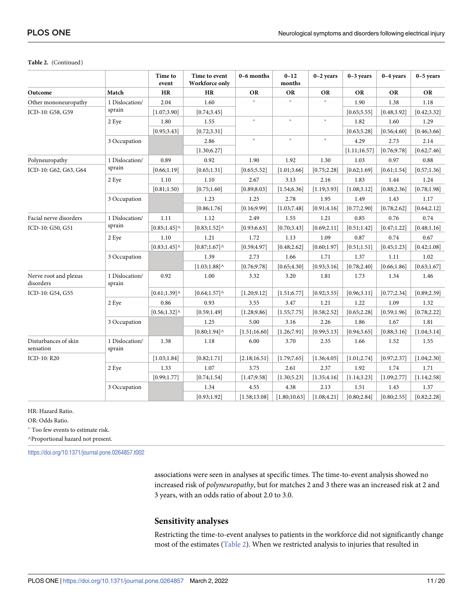#### **Table 2.** (Continued)

|                                    |                          | Time to<br>event | Time to event<br>Workforce only              | 0-6 months    | $0 - 12$<br>months | $0-2$ years  | $0-3$ years  | $0-4$ years  | $0-5$ years  |
|------------------------------------|--------------------------|------------------|----------------------------------------------|---------------|--------------------|--------------|--------------|--------------|--------------|
| Outcome                            | Match                    | HR               | HR                                           | OR            | OR                 | OR           | OR           | OR           | <b>OR</b>    |
| Other mononeuropathy               | 1 Dislocation/           | 2.04             | 1.60                                         |               |                    |              | 1.90         | 1.38         | 1.18         |
| ICD-10: G58, G59                   | sprain                   | [1.07; 3.90]     | [0.74; 3.45]                                 |               |                    |              | [0.65; 5.55] | [0.48; 3.92] | [0.42; 3.32] |
|                                    | 2 Eye                    | 1.80             | 1.55                                         | $\ast$        | $\ast$             | $\ast$       | 1.82         | 1.60         | 1.29         |
|                                    |                          | [0.95; 3.43]     | [0.72; 3.31]                                 |               |                    |              | [0.63; 5.28] | [0.56; 4.60] | [0.46; 3.66] |
|                                    | 3 Occupation             |                  | 2.86                                         | $\ast$        | $\ast$             | $\ast$       | 4.29         | 2.73         | 2.14         |
|                                    |                          |                  | [1.30; 6.27]                                 |               |                    |              | [1.11;16.57] | [0.76; 9.78] | [0.62;7.46]  |
| Polyneuropathy                     | 1 Dislocation/           | 0.89             | 0.92                                         | 1.90          | 1.92               | 1.30         | 1.03         | 0.97         | 0.88         |
| ICD-10: G62, G63, G64              | sprain                   | [0.66;1.19]      | [0.65;1.31]                                  | [0.65; 5.52]  | [1.01; 3.66]       | [0.75;2.28]  | [0.62;1.69]  | [0.61; 1.54] | [0.57;1.36]  |
|                                    | 2 Eye                    | 1.10             | 1.10                                         | 2.67          | 3.13               | 2.16         | 1.83         | 1.44         | 1.24         |
|                                    |                          | [0.81;1.50)      | [0.75;1.60]                                  | [0.89; 8.03]  | [1.54; 6.36]       | [1.19; 3.93] | [1.08; 3.12] | [0.88; 2.36] | [0.78;1.98]  |
|                                    | 3 Occupation             |                  | 1.23                                         | 1.25          | 2.78               | 1.95         | 1.49         | 1.43         | 1.17         |
|                                    |                          |                  | [0.86; 1.76]                                 | [0.16; 9.99]  | [1.03;7.48]        | [0.91; 4.16] | [0.77; 2.90] | [0.78; 2.62] | [0.64;2.12]  |
| Facial nerve disorders             | 1 Dislocation/           | 1.11             | 1.12                                         | 2.49          | 1.55               | 1.21         | 0.85         | 0.76         | 0.74         |
| ICD-10: G50, G51                   | sprain                   | $[0.85; 1.45]$ ^ | $[0.83; 1.52]$ ^                             | [0.93; 6.63]  | [0.70; 3.43]       | [0.69;2.11]  | [0.51;1.42]  | [0.47;1.22]  | [0.48;1.16]  |
|                                    | 2 Eye                    | 1.10             | 1.21                                         | 1.72          | 1.13               | 1.09         | 0.87         | 0.74         | 0.67         |
|                                    |                          | $[0.83;1.45]$ ^  | $[0.87;1.67]$ <sup><math>\wedge</math></sup> | [0.59; 4.97]  | [0.48; 2.62]       | [0.60;1.97]  | [0.51;1.51]  | [0.45;1.23]  | [0.42;1.08]  |
|                                    | 3 Occupation             |                  | 1.39                                         | 2.73          | 1.66               | 1.71         | 1.37         | 1.11         | 1.02         |
|                                    |                          |                  | $[1.03;1.88]$ <sup><math>\wedge</math></sup> | [0.76; 9.78]  | [0.65; 4.30]       | [0.93; 3.16] | [0.78; 2.40] | [0.66; 1.86] | [0.63;1.67]  |
| Nerve root and plexus<br>disorders | 1 Dislocation/<br>sprain | 0.92             | 1.00                                         | 3.32          | 3.20               | 1.81         | 1.73         | 1.34         | 1.46         |
| ICD-10: G54, G55                   |                          | $[0.61; 1.39]$ ^ | $[0.64;1.57]$ <sup><math>\wedge</math></sup> | [1.20; 9.12]  | [1.51; 6.77]       | [0.92; 3.55] | [0.96; 3.11] | [0.77; 2.34] | [0.89; 2.39] |
|                                    | 2 Eye                    | 0.86             | 0.93                                         | 3.55          | 3.47               | 1.21         | 1.22         | 1.09         | 1.32         |
|                                    |                          | $[0.56; 1.32]$ ^ | [0.59;1.49]                                  | [1.28; 9.86]  | [1.55;7.75]        | [0.58; 2.52] | [0.65; 2.28] | [0.59; 1.96] | [0.78;2.22]  |
|                                    | 3 Occupation             |                  | 1.25                                         | 5.00          | 3.16               | 2.26         | 1.86         | 1.67         | 1.81         |
|                                    |                          |                  | $[0.80;1.94]$ <sup><math>\wedge</math></sup> | [1.51;16.60]  | [1.26;7.91]        | [0.99; 5.13] | [0.94; 3.65] | [0.88; 3.16] | [1.04; 3.14] |
| Disturbances of skin<br>sensation  | 1 Dislocation/<br>sprain | 1.38             | 1.18                                         | 6.00          | 3.70               | 2.35         | 1.66         | 1.52         | 1.55         |
| ICD-10: R20                        |                          | [1.03;1.84]      | [0.82;1.71]                                  | [2.18;16.51]  | [1.79;7.65]        | [1.36;4.05]  | [1.01;2.74]  | [0.97; 2.37] | [1.04;2.30]  |
|                                    | 2 Eye                    | 1.33             | 1.07                                         | 3.75          | 2.61               | 2.37         | 1.92         | 1.74         | 1.71         |
|                                    |                          | [0.99; 1.77]     | [0.74; 1.54]                                 | [1.47; 9.58]  | [1.30; 5.23]       | [1.35;4.16]  | [1.14; 3.23] | [1.09; 2.77] | [1.14;2.58]  |
|                                    | 3 Occupation             |                  | 1.34                                         | 4.55          | 4.38               | 2.13         | 1.51         | 1.43         | 1.37         |
|                                    |                          |                  | [0.93;1.92]                                  | [1.58; 13.08] | [1.80; 10.63]      | [1.08;4.21]  | [0.80; 2.84] | [0.80; 2.55] | [0.82; 2.28] |

HR: Hazard Ratio.

OR: Odds Ratio.

 $^\ast$  Too few events to estimate risk.

^Proportional hazard not present.

<https://doi.org/10.1371/journal.pone.0264857.t002>

associations were seen in analyses at specific times. The time-to-event analysis showed no increased risk of *polyneuropathy*, but for matches 2 and 3 there was an increased risk at 2 and 3 years, with an odds ratio of about 2.0 to 3.0.

## **Sensitivity analyses**

Restricting the time-to-event analyses to patients in the workforce did not significantly change most of the estimates [\(Table](#page-8-0) 2). When we restricted analysis to injuries that resulted in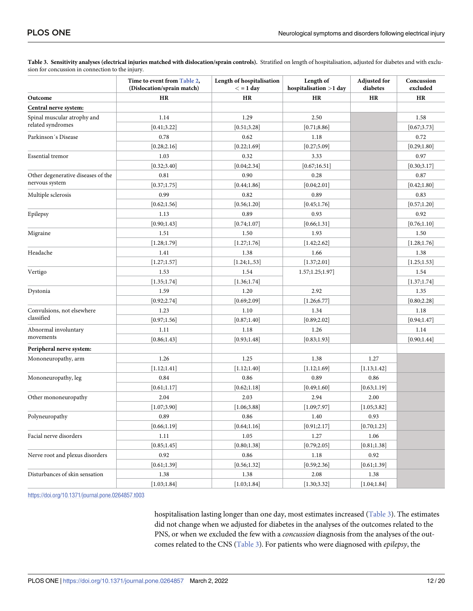|                                    | Time to event from Table 2,<br>(Dislocation/sprain match) | Length of hospitalisation<br>$\lt$ = 1 day | Length of<br>hospitalisation >1 day | <b>Adjusted for</b><br>diabetes | Concussion<br>excluded |
|------------------------------------|-----------------------------------------------------------|--------------------------------------------|-------------------------------------|---------------------------------|------------------------|
| Outcome                            | HR                                                        | <b>HR</b>                                  | <b>HR</b>                           | HR                              | <b>HR</b>              |
| Central nerve system:              |                                                           |                                            |                                     |                                 |                        |
| Spinal muscular atrophy and        | 1.14                                                      | 1.29                                       | 2.50                                |                                 | 1.58                   |
| related syndromes                  | [0.41; 3.22]                                              | [0.51; 3.28]                               | [0.71; 8.86]                        |                                 | [0.67; 3.73]           |
| Parkinson's Disease                | 0.78                                                      | 0.62                                       | 1.18                                |                                 | 0.72                   |
|                                    | [0.28; 2.16]                                              | [0.22;1.69]                                | [0.27; 5.09]                        |                                 | [0.29;1.80]            |
| <b>Essential</b> tremor            | 1.03                                                      | 0.32                                       | 3.33                                |                                 | 0.97                   |
|                                    | [0.32; 3.40]                                              | [0.04;2.34]                                | [0.67;16.51]                        |                                 | [0.30; 3.17]           |
| Other degenerative diseases of the | 0.81                                                      | 0.90                                       | 0.28                                |                                 | 0.87                   |
| nervous system                     | [0.37;1.75]                                               | [0.44;1.86]                                | [0.04;2.01]                         |                                 | [0.42;1.80]            |
| Multiple sclerosis                 | 0.99                                                      | 0.82                                       | 0.89                                |                                 | 0.83                   |
|                                    | [0.62; 1.56]                                              | [0.56;1.20]                                | [0.45;1.76]                         |                                 | [0.57;1.20]            |
| Epilepsy                           | 1.13                                                      | 0.89                                       | 0.93                                |                                 | 0.92                   |
|                                    | [0.90; 1.43]                                              | [0.74;1.07]                                | [0.66; 1.31]                        |                                 | [0.76;1.10]            |
| Migraine                           | 1.51                                                      | 1.50                                       | 1.93                                |                                 | 1.50                   |
|                                    | [1.28;1.79]                                               | [1.27;1.76]                                | [1.42; 2.62]                        |                                 | [1.28;1.76]            |
| Headache                           | 1.41                                                      | 1.38                                       | 1.66                                |                                 | 1.38                   |
|                                    | [1.27;1.57]                                               | [1.24;1,.53]                               | [1.37;2.01]                         |                                 | [1.25; 1.53]           |
| Vertigo                            | 1.53                                                      | 1.54                                       | 1.57;1.25;1.97]                     |                                 | 1.54                   |
|                                    | [1.35;1.74]                                               | [1.36;1.74]                                |                                     |                                 | [1.37;1.74]            |
| Dystonia                           | 1.59                                                      | 1.20                                       | 2.92                                |                                 | 1.35                   |
|                                    | [0.92; 2.74]                                              | [0.69; 2.09]                               | [1.26; 6.77]                        |                                 | [0.80; 2.28]           |
| Convulsions, not elsewhere         | 1.23                                                      | 1.10                                       | 1.34                                |                                 | 1.18                   |
| classified                         | [0.97; 1.56]                                              | [0.87;1.40]                                | [0.89; 2.02]                        |                                 | [0.94; 1.47]           |
| Abnormal involuntary               | 1.11                                                      | 1.18                                       | 1.26                                |                                 | 1.14                   |
| movements                          | [0.86; 1.43]                                              | [0.93; 1.48]                               | [0.83;1.93]                         |                                 | [0.90; 1.44]           |
| Peripheral nerve system:           |                                                           |                                            |                                     |                                 |                        |
| Mononeuropathy, arm                | 1.26                                                      | 1.25                                       | 1.38                                | 1.27                            |                        |
|                                    | [1.12;1.41]                                               | [1.12;1.40]                                | [1.12;1.69]                         | [1.13;1.42]                     |                        |
| Mononeuropathy, leg                | 0.84                                                      | 0.86                                       | 0.89                                | 0.86                            |                        |
|                                    | [0.61;1.17]                                               | [0.62;1.18]                                | [0.49;1.60]                         | [0.63;1.19]                     |                        |
| Other mononeuropathy               | 2.04                                                      | 2.03                                       | 2.94                                | 2.00                            |                        |
|                                    | [1.07; 3.90]                                              | [1.06; 3.88]                               | [1.09;7.97]                         | [1.05; 3.82]                    |                        |
| Polyneuropathy                     | 0.89                                                      | 0.86                                       | 1.40                                | 0.93                            |                        |
|                                    | [0.66;1.19]                                               | [0.64;1.16]                                | [0.91; 2.17]                        | [0.70;1.23]                     |                        |
| Facial nerve disorders             | 1.11                                                      | 1.05                                       | 1.27                                | 1.06                            |                        |
|                                    | [0.85;1.45]                                               | [0.80; 1.38]                               | [0.79; 2.05]                        | [0.81; 1.38]                    |                        |
| Nerve root and plexus disorders    | 0.92                                                      | 0.86                                       | 1.18                                | 0.92                            |                        |
|                                    | [0.61; 1.39]                                              | [0.56; 1.32]                               | [0.59; 2.36]                        | [0.61;1.39]                     |                        |
| Disturbances of skin sensation     | 1.38                                                      | 1.38                                       | 2.08                                | 1.38                            |                        |
|                                    | [1.03;1.84]                                               | [1.03;1.84]                                | [1.30; 3.32]                        | [1.04; 1.84]                    |                        |

<span id="page-11-0"></span>Table 3. Sensitivity analyses (electrical injuries matched with dislocation/sprain controls). Stratified on length of hospitalisation, adjusted for diabetes and with exclusion for concussion in connection to the injury.

<https://doi.org/10.1371/journal.pone.0264857.t003>

hospitalisation lasting longer than one day, most estimates increased (Table 3). The estimates did not change when we adjusted for diabetes in the analyses of the outcomes related to the PNS, or when we excluded the few with a *concussion* diagnosis from the analyses of the outcomes related to the CNS (Table 3). For patients who were diagnosed with *epilepsy*, the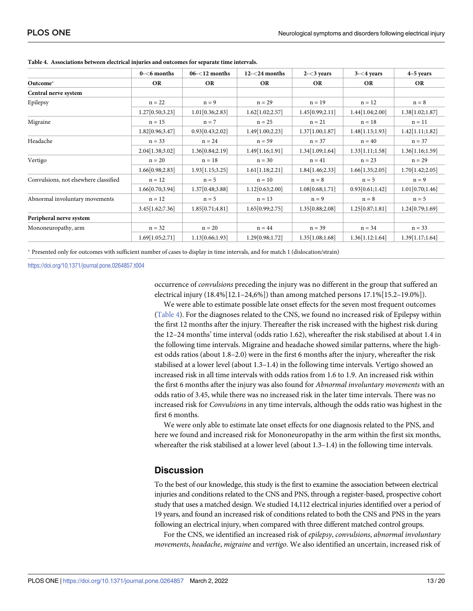|                                       | $0 - 6$ months    | $06 - 12$ months | $12 - 24$ months  | $2 - 3$ years     | $3 - 4$ years    | $4-5$ years     |
|---------------------------------------|-------------------|------------------|-------------------|-------------------|------------------|-----------------|
| Outcome*                              | <b>OR</b>         | <b>OR</b>        | <b>OR</b>         | <b>OR</b>         | <b>OR</b>        | <b>OR</b>       |
| Central nerve system                  |                   |                  |                   |                   |                  |                 |
| Epilepsy                              | $n = 22$          | $n = 9$          | $n = 29$          | $n = 19$          | $n = 12$         | $n = 8$         |
|                                       | 1.27[0.50; 3.23]  | 1.01[0.36;2.83]  | 1.62[1.02;2.57]   | 1.45[0.99;2.11]   | 1.44 [1.04;2.00] | 1.38[1.02;1.87] |
| Migraine                              | $n = 15$          | $n = 7$          | $n = 25$          | $n = 21$          | $n = 18$         | $n = 11$        |
|                                       | 1.82[0.96;3.47]   | 0.93[0.43;2.02]  | 1.49[1.00;2.23]   | 1.37[1.00;1.87]   | 1.48[1.13;1.93]  | 1.42[1.11;1.82] |
| Headache                              | $n = 33$          | $n = 24$         | $n = 59$          | $n = 37$          | $n = 40$         | $n = 37$        |
|                                       | 2.04 [1.38; 3.02] | 1.36[0.84;2.19]  | 1.49 [1.16;1.91]  | 1.34[1.09;1.64]   | 1.33[1.11;1.58]  | 1.36[1.16;1.59] |
| Vertigo                               | $n = 20$          | $n = 18$         | $n = 30$          | $n = 41$          | $n = 23$         | $n = 29$        |
|                                       | 1.66[0.98;2.83]   | 1.93[1.15;3.25]  | 1.61[1.18;2.21]   | 1.84[1.46;2.33]   | 1.66[1.35;2.05]  | 1.70[1.42;2.05] |
| Convulsions, not elsewhere classified | $n = 12$          | $n = 5$          | $n = 10$          | $n = 8$           | $n = 5$          | $n = 9$         |
|                                       | 1.66[0.70;3.94]   | 1.37[0.48;3.88]  | 1.12[0.63;2.00]   | 1.08[0.68;1.71]   | 0.93[0.61;1.42]  | 1.01[0.70;1.46] |
| Abnormal involuntary movements        | $n = 12$          | $n = 5$          | $n = 13$          | $n = 9$           | $n = 8$          | $n = 5$         |
|                                       | 3.45[1.62;7.36]   | 1.85[0.71;4.81]  | 1.65[0.99;2.75]   | 1.35 [0.88; 2.08] | 1.25[0.87;1.81]  | 1.24[0.79;1.69] |
| Peripheral nerve system               |                   |                  |                   |                   |                  |                 |
| Mononeuropathy, arm                   | $n = 32$          | $n = 20$         | $n = 44$          | $n = 39$          | $n = 34$         | $n = 33$        |
|                                       | 1.69[1.05;2.71]   | 1.13[0.66;1.93]  | 1.29 [0.98; 1.72] | 1.35[1.08;1.68]   | 1.36[1.12:1.64]  | 1.39[1.17;1.64] |

**Table 4. Associations between electrical injuries and outcomes for separate time intervals.**

� Presented only for outcomes with sufficient number of cases to display in time intervals, and for match 1 (dislocation/strain)

<https://doi.org/10.1371/journal.pone.0264857.t004>

occurrence of *convulsions* preceding the injury was no different in the group that suffered an electrical injury (18.4%[12.1–24,6%]) than among matched persons 17.1%[15.2–19.0%]).

We were able to estimate possible late onset effects for the seven most frequent outcomes (Table 4). For the diagnoses related to the CNS, we found no increased risk of Epilepsy within the first 12 months after the injury. Thereafter the risk increased with the highest risk during the 12–24 months' time interval (odds ratio 1.62), whereafter the risk stabilised at about 1.4 in the following time intervals. Migraine and headache showed similar patterns, where the highest odds ratios (about 1.8–2.0) were in the first 6 months after the injury, whereafter the risk stabilised at a lower level (about 1.3–1.4) in the following time intervals. Vertigo showed an increased risk in all time intervals with odds ratios from 1.6 to 1.9. An increased risk within the first 6 months after the injury was also found for *Abnormal involuntary movements* with an odds ratio of 3.45, while there was no increased risk in the later time intervals. There was no increased risk for *Convulsions* in any time intervals, although the odds ratio was highest in the first 6 months.

We were only able to estimate late onset effects for one diagnosis related to the PNS, and here we found and increased risk for Mononeuropathy in the arm within the first six months, whereafter the risk stabilised at a lower level (about 1.3–1.4) in the following time intervals.

## **Discussion**

To the best of our knowledge, this study is the first to examine the association between electrical injuries and conditions related to the CNS and PNS, through a register-based, prospective cohort study that uses a matched design. We studied 14,112 electrical injuries identified over a period of 19 years, and found an increased risk of conditions related to both the CNS and PNS in the years following an electrical injury, when compared with three different matched control groups.

For the CNS, we identified an increased risk of *epilepsy*, *convulsions*, *abnormal involuntary movements*, *headache*, *migraine* and *vertigo*. We also identified an uncertain, increased risk of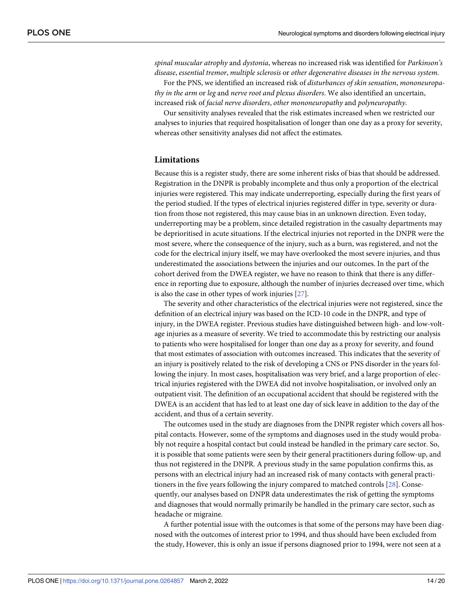<span id="page-13-0"></span>*spinal muscular atrophy* and *dystonia*, whereas no increased risk was identified for *Parkinson's disease*, *essential tremor*, *multiple sclerosis* or *other degenerative diseases in the nervous system*.

For the PNS, we identified an increased risk of *disturbances of skin sensation*, *mononeuropathy in the arm* or *leg* and *nerve root and plexus disorders*. We also identified an uncertain, increased risk of *facial nerve disorders*, *other mononeuropathy* and *polyneuropathy*.

Our sensitivity analyses revealed that the risk estimates increased when we restricted our analyses to injuries that required hospitalisation of longer than one day as a proxy for severity, whereas other sensitivity analyses did not affect the estimates.

#### **Limitations**

Because this is a register study, there are some inherent risks of bias that should be addressed. Registration in the DNPR is probably incomplete and thus only a proportion of the electrical injuries were registered. This may indicate underreporting, especially during the first years of the period studied. If the types of electrical injuries registered differ in type, severity or duration from those not registered, this may cause bias in an unknown direction. Even today, underreporting may be a problem, since detailed registration in the casualty departments may be deprioritised in acute situations. If the electrical injuries not reported in the DNPR were the most severe, where the consequence of the injury, such as a burn, was registered, and not the code for the electrical injury itself, we may have overlooked the most severe injuries, and thus underestimated the associations between the injuries and our outcomes. In the part of the cohort derived from the DWEA register, we have no reason to think that there is any difference in reporting due to exposure, although the number of injuries decreased over time, which is also the case in other types of work injuries [[27](#page-18-0)].

The severity and other characteristics of the electrical injuries were not registered, since the definition of an electrical injury was based on the ICD-10 code in the DNPR, and type of injury, in the DWEA register. Previous studies have distinguished between high- and low-voltage injuries as a measure of severity. We tried to accommodate this by restricting our analysis to patients who were hospitalised for longer than one day as a proxy for severity, and found that most estimates of association with outcomes increased. This indicates that the severity of an injury is positively related to the risk of developing a CNS or PNS disorder in the years following the injury. In most cases, hospitalisation was very brief, and a large proportion of electrical injuries registered with the DWEA did not involve hospitalisation, or involved only an outpatient visit. The definition of an occupational accident that should be registered with the DWEA is an accident that has led to at least one day of sick leave in addition to the day of the accident, and thus of a certain severity.

The outcomes used in the study are diagnoses from the DNPR register which covers all hospital contacts. However, some of the symptoms and diagnoses used in the study would probably not require a hospital contact but could instead be handled in the primary care sector. So, it is possible that some patients were seen by their general practitioners during follow-up, and thus not registered in the DNPR. A previous study in the same population confirms this, as persons with an electrical injury had an increased risk of many contacts with general practitioners in the five years following the injury compared to matched controls [[28](#page-18-0)]. Consequently, our analyses based on DNPR data underestimates the risk of getting the symptoms and diagnoses that would normally primarily be handled in the primary care sector, such as headache or migraine.

A further potential issue with the outcomes is that some of the persons may have been diagnosed with the outcomes of interest prior to 1994, and thus should have been excluded from the study, However, this is only an issue if persons diagnosed prior to 1994, were not seen at a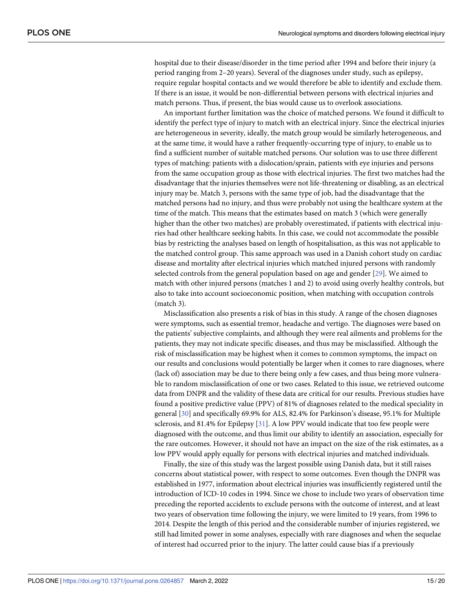<span id="page-14-0"></span>hospital due to their disease/disorder in the time period after 1994 and before their injury (a period ranging from 2–20 years). Several of the diagnoses under study, such as epilepsy, require regular hospital contacts and we would therefore be able to identify and exclude them. If there is an issue, it would be non-differential between persons with electrical injuries and match persons. Thus, if present, the bias would cause us to overlook associations.

An important further limitation was the choice of matched persons. We found it difficult to identify the perfect type of injury to match with an electrical injury. Since the electrical injuries are heterogeneous in severity, ideally, the match group would be similarly heterogeneous, and at the same time, it would have a rather frequently-occurring type of injury, to enable us to find a sufficient number of suitable matched persons. Our solution was to use three different types of matching: patients with a dislocation/sprain, patients with eye injuries and persons from the same occupation group as those with electrical injuries. The first two matches had the disadvantage that the injuries themselves were not life-threatening or disabling, as an electrical injury may be. Match 3, persons with the same type of job, had the disadvantage that the matched persons had no injury, and thus were probably not using the healthcare system at the time of the match. This means that the estimates based on match 3 (which were generally higher than the other two matches) are probably overestimated, if patients with electrical injuries had other healthcare seeking habits. In this case, we could not accommodate the possible bias by restricting the analyses based on length of hospitalisation, as this was not applicable to the matched control group. This same approach was used in a Danish cohort study on cardiac disease and mortality after electrical injuries which matched injured persons with randomly selected controls from the general population based on age and gender [[29](#page-18-0)]. We aimed to match with other injured persons (matches 1 and 2) to avoid using overly healthy controls, but also to take into account socioeconomic position, when matching with occupation controls (match 3).

Misclassification also presents a risk of bias in this study. A range of the chosen diagnoses were symptoms, such as essential tremor, headache and vertigo. The diagnoses were based on the patients' subjective complaints, and although they were real ailments and problems for the patients, they may not indicate specific diseases, and thus may be misclassified. Although the risk of misclassification may be highest when it comes to common symptoms, the impact on our results and conclusions would potentially be larger when it comes to rare diagnoses, where (lack of) association may be due to there being only a few cases, and thus being more vulnerable to random misclassification of one or two cases. Related to this issue, we retrieved outcome data from DNPR and the validity of these data are critical for our results. Previous studies have found a positive predictive value (PPV) of 81% of diagnoses related to the medical speciality in general [[30](#page-18-0)] and specifically 69.9% for ALS, 82.4% for Parkinson's disease, 95.1% for Multiple sclerosis, and 81.4% for Epilepsy [\[31\]](#page-18-0). A low PPV would indicate that too few people were diagnosed with the outcome, and thus limit our ability to identify an association, especially for the rare outcomes. However, it should not have an impact on the size of the risk estimates, as a low PPV would apply equally for persons with electrical injuries and matched individuals.

Finally, the size of this study was the largest possible using Danish data, but it still raises concerns about statistical power, with respect to some outcomes. Even though the DNPR was established in 1977, information about electrical injuries was insufficiently registered until the introduction of ICD-10 codes in 1994. Since we chose to include two years of observation time preceding the reported accidents to exclude persons with the outcome of interest, and at least two years of observation time following the injury, we were limited to 19 years, from 1996 to 2014. Despite the length of this period and the considerable number of injuries registered, we still had limited power in some analyses, especially with rare diagnoses and when the sequelae of interest had occurred prior to the injury. The latter could cause bias if a previously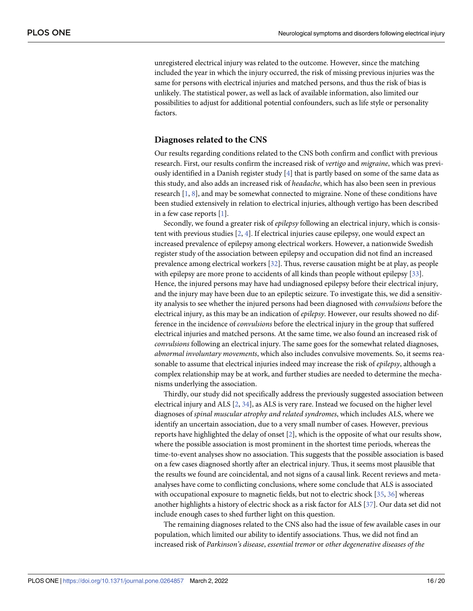<span id="page-15-0"></span>unregistered electrical injury was related to the outcome. However, since the matching included the year in which the injury occurred, the risk of missing previous injuries was the same for persons with electrical injuries and matched persons, and thus the risk of bias is unlikely. The statistical power, as well as lack of available information, also limited our possibilities to adjust for additional potential confounders, such as life style or personality factors.

#### **Diagnoses related to the CNS**

Our results regarding conditions related to the CNS both confirm and conflict with previous research. First, our results confirm the increased risk of *vertigo* and *migraine*, which was previously identified in a Danish register study [[4\]](#page-17-0) that is partly based on some of the same data as this study, and also adds an increased risk of *headache*, which has also been seen in previous research [[1,](#page-17-0) [8\]](#page-17-0), and may be somewhat connected to migraine. None of these conditions have been studied extensively in relation to electrical injuries, although vertigo has been described in a few case reports [[1\]](#page-17-0).

Secondly, we found a greater risk of *epilepsy* following an electrical injury, which is consistent with previous studies [[2](#page-17-0), [4\]](#page-17-0). If electrical injuries cause epilepsy, one would expect an increased prevalence of epilepsy among electrical workers. However, a nationwide Swedish register study of the association between epilepsy and occupation did not find an increased prevalence among electrical workers [\[32\]](#page-18-0). Thus, reverse causation might be at play, as people with epilepsy are more prone to accidents of all kinds than people without epilepsy [\[33\]](#page-19-0). Hence, the injured persons may have had undiagnosed epilepsy before their electrical injury, and the injury may have been due to an epileptic seizure. To investigate this, we did a sensitivity analysis to see whether the injured persons had been diagnosed with *convulsions* before the electrical injury, as this may be an indication of *epilepsy*. However, our results showed no difference in the incidence of *convulsions* before the electrical injury in the group that suffered electrical injuries and matched persons. At the same time, we also found an increased risk of *convulsions* following an electrical injury. The same goes for the somewhat related diagnoses, *abnormal involuntary movements*, which also includes convulsive movements. So, it seems reasonable to assume that electrical injuries indeed may increase the risk of *epilepsy*, although a complex relationship may be at work, and further studies are needed to determine the mechanisms underlying the association.

Thirdly, our study did not specifically address the previously suggested association between electrical injury and ALS [\[2,](#page-17-0) [34\]](#page-19-0), as ALS is very rare. Instead we focused on the higher level diagnoses of *spinal muscular atrophy and related syndromes*, which includes ALS, where we identify an uncertain association, due to a very small number of cases. However, previous reports have highlighted the delay of onset [[2\]](#page-17-0), which is the opposite of what our results show, where the possible association is most prominent in the shortest time periods, whereas the time-to-event analyses show no association. This suggests that the possible association is based on a few cases diagnosed shortly after an electrical injury. Thus, it seems most plausible that the results we found are coincidental, and not signs of a causal link. Recent reviews and metaanalyses have come to conflicting conclusions, where some conclude that ALS is associated with occupational exposure to magnetic fields, but not to electric shock [[35](#page-19-0), [36](#page-19-0)] whereas another highlights a history of electric shock as a risk factor for ALS [[37](#page-19-0)]. Our data set did not include enough cases to shed further light on this question.

The remaining diagnoses related to the CNS also had the issue of few available cases in our population, which limited our ability to identify associations. Thus, we did not find an increased risk of *Parkinson's disease*, *essential tremor* or *other degenerative diseases of the*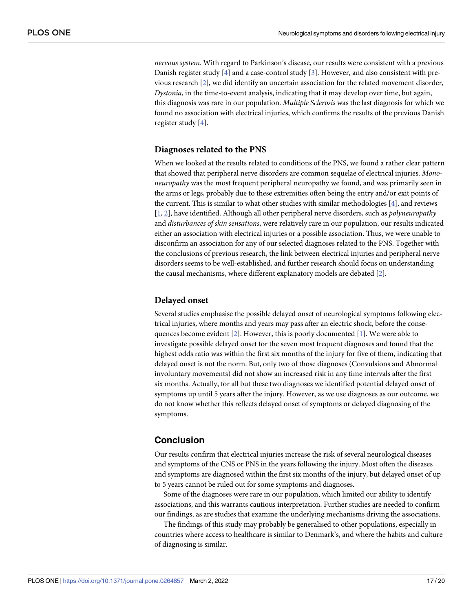<span id="page-16-0"></span>*nervous system*. With regard to Parkinson's disease, our results were consistent with a previous Danish register study [\[4](#page-17-0)] and a case-control study [[3\]](#page-17-0). However, and also consistent with previous research [\[2](#page-17-0)], we did identify an uncertain association for the related movement disorder, *Dystonia*, in the time-to-event analysis, indicating that it may develop over time, but again, this diagnosis was rare in our population. *Multiple Sclerosis* was the last diagnosis for which we found no association with electrical injuries, which confirms the results of the previous Danish register study [\[4](#page-17-0)].

#### **Diagnoses related to the PNS**

When we looked at the results related to conditions of the PNS, we found a rather clear pattern that showed that peripheral nerve disorders are common sequelae of electrical injuries. *Mononeuropathy* was the most frequent peripheral neuropathy we found, and was primarily seen in the arms or legs, probably due to these extremities often being the entry and/or exit points of the current. This is similar to what other studies with similar methodologies [\[4](#page-17-0)], and reviews [\[1](#page-17-0), [2](#page-17-0)], have identified. Although all other peripheral nerve disorders, such as *polyneuropathy* and *disturbances of skin sensations*, were relatively rare in our population, our results indicated either an association with electrical injuries or a possible association. Thus, we were unable to disconfirm an association for any of our selected diagnoses related to the PNS. Together with the conclusions of previous research, the link between electrical injuries and peripheral nerve disorders seems to be well-established, and further research should focus on understanding the causal mechanisms, where different explanatory models are debated [\[2](#page-17-0)].

#### **Delayed onset**

Several studies emphasise the possible delayed onset of neurological symptoms following electrical injuries, where months and years may pass after an electric shock, before the consequences become evident [[2](#page-17-0)]. However, this is poorly documented [\[1](#page-17-0)]. We were able to investigate possible delayed onset for the seven most frequent diagnoses and found that the highest odds ratio was within the first six months of the injury for five of them, indicating that delayed onset is not the norm. But, only two of those diagnoses (Convulsions and Abnormal involuntary movements) did not show an increased risk in any time intervals after the first six months. Actually, for all but these two diagnoses we identified potential delayed onset of symptoms up until 5 years after the injury. However, as we use diagnoses as our outcome, we do not know whether this reflects delayed onset of symptoms or delayed diagnosing of the symptoms.

# **Conclusion**

Our results confirm that electrical injuries increase the risk of several neurological diseases and symptoms of the CNS or PNS in the years following the injury. Most often the diseases and symptoms are diagnosed within the first six months of the injury, but delayed onset of up to 5 years cannot be ruled out for some symptoms and diagnoses.

Some of the diagnoses were rare in our population, which limited our ability to identify associations, and this warrants cautious interpretation. Further studies are needed to confirm our findings, as are studies that examine the underlying mechanisms driving the associations.

The findings of this study may probably be generalised to other populations, especially in countries where access to healthcare is similar to Denmark's, and where the habits and culture of diagnosing is similar.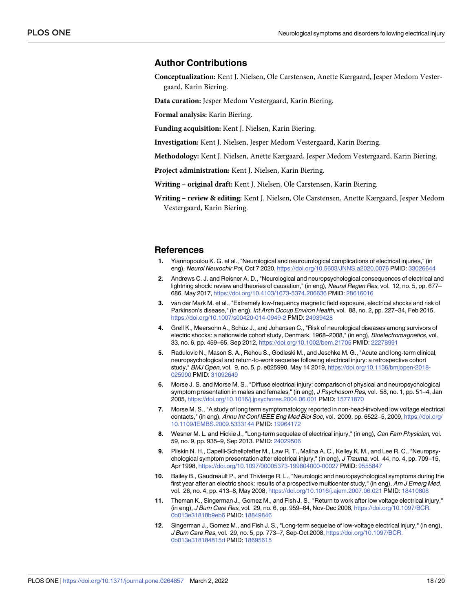## <span id="page-17-0"></span>**Author Contributions**

**Conceptualization:** Kent J. Nielsen, Ole Carstensen, Anette Kærgaard, Jesper Medom Vestergaard, Karin Biering.

**Data curation:** Jesper Medom Vestergaard, Karin Biering.

**Formal analysis:** Karin Biering.

**Funding acquisition:** Kent J. Nielsen, Karin Biering.

**Investigation:** Kent J. Nielsen, Jesper Medom Vestergaard, Karin Biering.

**Methodology:** Kent J. Nielsen, Anette Kærgaard, Jesper Medom Vestergaard, Karin Biering.

**Project administration:** Kent J. Nielsen, Karin Biering.

**Writing – original draft:** Kent J. Nielsen, Ole Carstensen, Karin Biering.

**Writing – review & editing:** Kent J. Nielsen, Ole Carstensen, Anette Kærgaard, Jesper Medom Vestergaard, Karin Biering.

#### **References**

- **[1](#page-16-0).** Yiannopoulou K. G. et al., "Neurological and neurourological complications of electrical injuries," (in eng), Neurol Neurochir Pol, Oct 7 2020, <https://doi.org/10.5603/JNNS.a2020.0076> PMID: [33026644](http://www.ncbi.nlm.nih.gov/pubmed/33026644)
- **[2](#page-2-0).** Andrews C. J. and Reisner A. D., "Neurological and neuropsychological consequences of electrical and lightning shock: review and theories of causation," (in eng), Neural Regen Res, vol. 12, no. 5, pp. 677-686, May 2017, <https://doi.org/10.4103/1673-5374.206636> PMID: [28616016](http://www.ncbi.nlm.nih.gov/pubmed/28616016)
- **[3](#page-16-0).** van der Mark M. et al., "Extremely low-frequency magnetic field exposure, electrical shocks and risk of Parkinson's disease," (in eng), Int Arch Occup Environ Health, vol. 88, no. 2, pp. 227–34, Feb 2015, <https://doi.org/10.1007/s00420-014-0949-2> PMID: [24939428](http://www.ncbi.nlm.nih.gov/pubmed/24939428)
- **[4](#page-16-0).** Grell K., Meersohn A., Schüz J., and Johansen C., "Risk of neurological diseases among survivors of electric shocks: a nationwide cohort study, Denmark, 1968–2008," (in eng), Bioelectromagnetics, vol. 33, no. 6, pp. 459–65, Sep 2012, <https://doi.org/10.1002/bem.21705> PMID: [22278991](http://www.ncbi.nlm.nih.gov/pubmed/22278991)
- **[5](#page-1-0).** Radulovic N., Mason S. A., Rehou S., Godleski M., and Jeschke M. G., "Acute and long-term clinical, neuropsychological and return-to-work sequelae following electrical injury: a retrospective cohort study," BMJ Open, vol. 9, no. 5, p. e025990, May 14 2019, [https://doi.org/10.1136/bmjopen-2018-](https://doi.org/10.1136/bmjopen-2018-025990) [025990](https://doi.org/10.1136/bmjopen-2018-025990) PMID: [31092649](http://www.ncbi.nlm.nih.gov/pubmed/31092649)
- **[6](#page-2-0).** Morse J. S. and Morse M. S., "Diffuse electrical injury: comparison of physical and neuropsychological symptom presentation in males and females," (in eng), J Psychosom Res, vol. 58, no. 1, pp. 51–4, Jan 2005, <https://doi.org/10.1016/j.jpsychores.2004.06.001> PMID: [15771870](http://www.ncbi.nlm.nih.gov/pubmed/15771870)
- **7.** Morse M. S., "A study of long term symptomatology reported in non-head-involved low voltage electrical contacts," (in eng), Annu Int Conf IEEE Eng Med Biol Soc, vol. 2009, pp. 6522-5, 2009, [https://doi.org/](https://doi.org/10.1109/IEMBS.2009.5333144) [10.1109/IEMBS.2009.5333144](https://doi.org/10.1109/IEMBS.2009.5333144) PMID: [19964172](http://www.ncbi.nlm.nih.gov/pubmed/19964172)
- **[8](#page-15-0).** Wesner M. L. and Hickie J., "Long-term sequelae of electrical injury," (in eng), Can Fam Physician, vol. 59, no. 9, pp. 935–9, Sep 2013. PMID: [24029506](http://www.ncbi.nlm.nih.gov/pubmed/24029506)
- **9.** Pliskin N. H., Capelli-Schellpfeffer M., Law R. T., Malina A. C., Kelley K. M., and Lee R. C., "Neuropsychological symptom presentation after electrical injury," (in eng), J Trauma, vol. 44, no. 4, pp. 709–15, Apr 1998, <https://doi.org/10.1097/00005373-199804000-00027> PMID: [9555847](http://www.ncbi.nlm.nih.gov/pubmed/9555847)
- **[10](#page-1-0).** Bailey B., Gaudreault P., and Thivierge R. L., "Neurologic and neuropsychological symptoms during the first year after an electric shock: results of a prospective multicenter study," (in eng), Am J Emerg Med, vol. 26, no. 4, pp. 413–8, May 2008, <https://doi.org/10.1016/j.ajem.2007.06.021> PMID: [18410808](http://www.ncbi.nlm.nih.gov/pubmed/18410808)
- **[11](#page-1-0).** Theman K., Singerman J., Gomez M., and Fish J. S., "Return to work after low voltage electrical injury," (in eng), J Burn Care Res, vol. 29, no. 6, pp. 959–64, Nov-Dec 2008, [https://doi.org/10.1097/BCR.](https://doi.org/10.1097/BCR.0b013e31818b9eb6) [0b013e31818b9eb6](https://doi.org/10.1097/BCR.0b013e31818b9eb6) PMID: [18849846](http://www.ncbi.nlm.nih.gov/pubmed/18849846)
- **[12](#page-1-0).** Singerman J., Gomez M., and Fish J. S., "Long-term sequelae of low-voltage electrical injury," (in eng), J Burn Care Res, vol. 29, no. 5, pp. 773–7, Sep-Oct 2008, [https://doi.org/10.1097/BCR.](https://doi.org/10.1097/BCR.0b013e318184815d) [0b013e318184815d](https://doi.org/10.1097/BCR.0b013e318184815d) PMID: [18695615](http://www.ncbi.nlm.nih.gov/pubmed/18695615)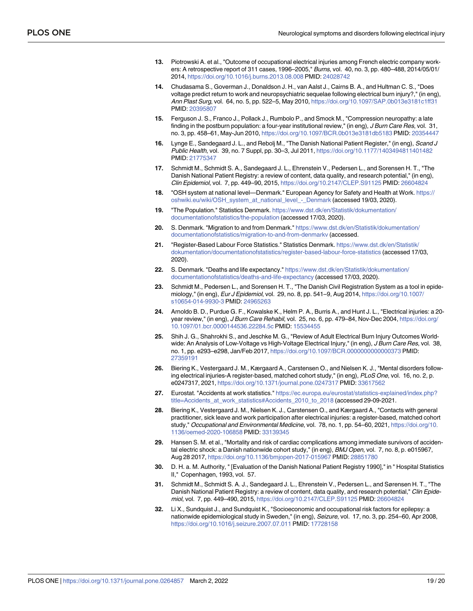- <span id="page-18-0"></span>**[13](#page-2-0).** Piotrowski A. et al., "Outcome of occupational electrical injuries among French electric company workers: A retrospective report of 311 cases, 1996–2005," Burns, vol. 40, no. 3, pp. 480–488, 2014/05/01/ 2014, <https://doi.org/10.1016/j.burns.2013.08.008> PMID: [24028742](http://www.ncbi.nlm.nih.gov/pubmed/24028742)
- **[14](#page-2-0).** Chudasama S., Goverman J., Donaldson J. H., van Aalst J., Cairns B. A., and Hultman C. S., "Does voltage predict return to work and neuropsychiatric sequelae following electrical burn injury?," (in eng), Ann Plast Surg, vol. 64, no. 5, pp. 522–5, May 2010, <https://doi.org/10.1097/SAP.0b013e3181c1ff31> PMID: [20395807](http://www.ncbi.nlm.nih.gov/pubmed/20395807)
- **[15](#page-2-0).** Ferguson J. S., Franco J., Pollack J., Rumbolo P., and Smock M., "Compression neuropathy: a late finding in the postburn population: a four-year institutional review," (in eng), J Burn Care Res, vol. 31, no. 3, pp. 458–61, May-Jun 2010, <https://doi.org/10.1097/BCR.0b013e3181db5183> PMID: [20354447](http://www.ncbi.nlm.nih.gov/pubmed/20354447)
- **[16](#page-2-0).** Lynge E., Sandegaard J. L., and Rebolj M., "The Danish National Patient Register," (in eng), Scand J Public Health, vol. 39, no. 7 Suppl, pp. 30–3, Jul 2011, <https://doi.org/10.1177/1403494811401482> PMID: [21775347](http://www.ncbi.nlm.nih.gov/pubmed/21775347)
- **[17](#page-2-0).** Schmidt M., Schmidt S. A., Sandegaard J. L., Ehrenstein V., Pedersen L., and Sorensen H. T., "The Danish National Patient Registry: a review of content, data quality, and research potential," (in eng), Clin Epidemiol, vol. 7, pp. 449–90, 2015, <https://doi.org/10.2147/CLEP.S91125> PMID: [26604824](http://www.ncbi.nlm.nih.gov/pubmed/26604824)
- **[18](#page-2-0).** "OSH system at national level—Denmark." European Agency for Safety and Health at Work. [https://](https://oshwiki.eu/wiki/OSH_system_at_national_level_-_Denmark) [oshwiki.eu/wiki/OSH\\_system\\_at\\_national\\_level\\_-\\_Denmark](https://oshwiki.eu/wiki/OSH_system_at_national_level_-_Denmark) (accessed 19/03, 2020).
- **[19](#page-2-0).** "The Population." Statistics Denmark. [https://www.dst.dk/en/Statistik/dokumentation/](https://www.dst.dk/en/Statistik/dokumentation/documentationofstatistics/the-population) [documentationofstatistics/the-population](https://www.dst.dk/en/Statistik/dokumentation/documentationofstatistics/the-population) (accessed 17/03, 2020).
- **[20](#page-2-0).** S. Denmark. "Migration to and from Denmark." [https://www.dst.dk/en/Statistik/dokumentation/](https://www.dst.dk/en/Statistik/dokumentation/documentationofstatistics/migration-to-and-from-denmarkv) [documentationofstatistics/migration-to-and-from-denmarkv](https://www.dst.dk/en/Statistik/dokumentation/documentationofstatistics/migration-to-and-from-denmarkv) (accessed.
- **[21](#page-3-0).** "Register-Based Labour Force Statistics." Statistics Denmark. [https://www.dst.dk/en/Statistik/](https://www.dst.dk/en/Statistik/dokumentation/documentationofstatistics/register-based-labour-force-statistics) [dokumentation/documentationofstatistics/register-based-labour-force-statistics](https://www.dst.dk/en/Statistik/dokumentation/documentationofstatistics/register-based-labour-force-statistics) (accessed 17/03, 2020).
- **[22](#page-2-0).** S. Denmark. "Deaths and life expectancy." [https://www.dst.dk/en/Statistik/dokumentation/](https://www.dst.dk/en/Statistik/dokumentation/documentationofstatistics/deaths-and-life-expectancy) [documentationofstatistics/deaths-and-life-expectancy](https://www.dst.dk/en/Statistik/dokumentation/documentationofstatistics/deaths-and-life-expectancy) (accessed 17/03, 2020).
- **[23](#page-2-0).** Schmidt M., Pedersen L., and Sorensen H. T., "The Danish Civil Registration System as a tool in epidemiology," (in eng), Eur J Epidemiol, vol. 29, no. 8, pp. 541–9, Aug 2014, [https://doi.org/10.1007/](https://doi.org/10.1007/s10654-014-9930-3) [s10654-014-9930-3](https://doi.org/10.1007/s10654-014-9930-3) PMID: [24965263](http://www.ncbi.nlm.nih.gov/pubmed/24965263)
- **[24](#page-6-0).** Arnoldo B. D., Purdue G. F., Kowalske K., Helm P. A., Burris A., and Hunt J. L., "Electrical injuries: a 20 year review," (in eng), J Burn Care Rehabil, vol. 25, no. 6, pp. 479–84, Nov-Dec 2004, [https://doi.org/](https://doi.org/10.1097/01.bcr.0000144536.22284.5c) [10.1097/01.bcr.0000144536.22284.5c](https://doi.org/10.1097/01.bcr.0000144536.22284.5c) PMID: [15534455](http://www.ncbi.nlm.nih.gov/pubmed/15534455)
- **[25](#page-6-0).** Shih J. G., Shahrokhi S., and Jeschke M. G., "Review of Adult Electrical Burn Injury Outcomes Worldwide: An Analysis of Low-Voltage vs High-Voltage Electrical Injury," (in eng), J Burn Care Res, vol. 38, no. 1, pp. e293–e298, Jan/Feb 2017, <https://doi.org/10.1097/BCR.0000000000000373> PMID: [27359191](http://www.ncbi.nlm.nih.gov/pubmed/27359191)
- **[26](#page-7-0).** Biering K., Vestergaard J. M., Kærgaard A., Carstensen O., and Nielsen K. J., "Mental disorders following electrical injuries-A register-based, matched cohort study," (in eng), PLoS One, vol. 16, no. 2, p. e0247317, 2021, <https://doi.org/10.1371/journal.pone.0247317> PMID: [33617562](http://www.ncbi.nlm.nih.gov/pubmed/33617562)
- **[27](#page-13-0).** Eurostat. "Accidents at work statistics." [https://ec.europa.eu/eurostat/statistics-explained/index.php?](https://ec.europa.eu/eurostat/statistics-explained/index.php?title=Accidents_at_work_statistics#Accidents_2010_to_2018) [title=Accidents\\_at\\_work\\_statistics#Accidents\\_2010\\_to\\_2018](https://ec.europa.eu/eurostat/statistics-explained/index.php?title=Accidents_at_work_statistics#Accidents_2010_to_2018) (accessed 29-09-2021.
- **[28](#page-13-0).** Biering K., Vestergaard J. M., Nielsen K. J., Carstensen O., and Kærgaard A., "Contacts with general practitioner, sick leave and work participation after electrical injuries: a register-based, matched cohort study," Occupational and Environmental Medicine, vol. 78, no. 1, pp. 54–60, 2021, [https://doi.org/10.](https://doi.org/10.1136/oemed-2020-106858) [1136/oemed-2020-106858](https://doi.org/10.1136/oemed-2020-106858) PMID: [33139345](http://www.ncbi.nlm.nih.gov/pubmed/33139345)
- **[29](#page-14-0).** Hansen S. M. et al., "Mortality and risk of cardiac complications among immediate survivors of accidental electric shock: a Danish nationwide cohort study," (in eng), BMJ Open, vol. 7, no. 8, p. e015967, Aug 28 2017, <https://doi.org/10.1136/bmjopen-2017-015967> PMID: [28851780](http://www.ncbi.nlm.nih.gov/pubmed/28851780)
- **[30](#page-14-0).** D. H. a. M. Authority, " [Evaluation of the Danish National Patient Registry 1990]," in " Hospital Statistics II," Copenhagen, 1993, vol. 57.
- **[31](#page-14-0).** Schmidt M., Schmidt S. A. J., Sandegaard J. L., Ehrenstein V., Pedersen L., and Sørensen H. T., "The Danish National Patient Registry: a review of content, data quality, and research potential," Clin Epidemiol, vol. 7, pp. 449–490, 2015, <https://doi.org/10.2147/CLEP.S91125> PMID: [26604824](http://www.ncbi.nlm.nih.gov/pubmed/26604824)
- **[32](#page-15-0).** Li X., Sundquist J., and Sundquist K., "Socioeconomic and occupational risk factors for epilepsy: a nationwide epidemiological study in Sweden," (in eng), Seizure, vol. 17, no. 3, pp. 254–60, Apr 2008, <https://doi.org/10.1016/j.seizure.2007.07.011> PMID: [17728158](http://www.ncbi.nlm.nih.gov/pubmed/17728158)